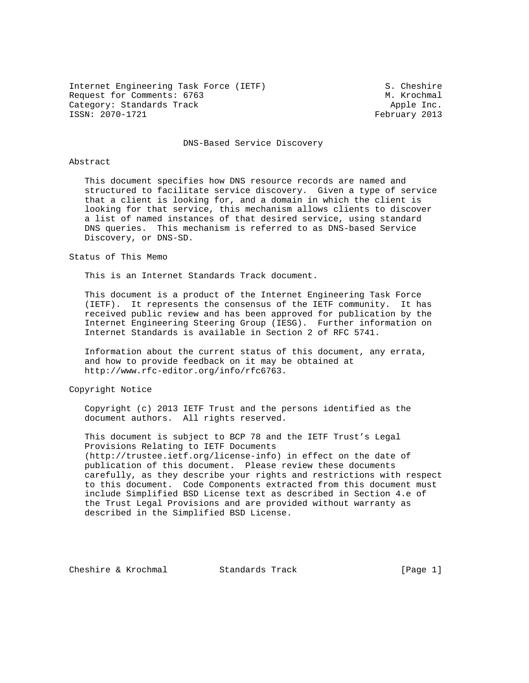Internet Engineering Task Force (IETF) S. Cheshire Request for Comments: 6763 M. Krochmal Category: Standards Track and the Category: Standards Track Apple Inc.<br>
ISSN: 2070-1721 Category: Apple Inc.

February 2013

#### DNS-Based Service Discovery

#### Abstract

 This document specifies how DNS resource records are named and structured to facilitate service discovery. Given a type of service that a client is looking for, and a domain in which the client is looking for that service, this mechanism allows clients to discover a list of named instances of that desired service, using standard DNS queries. This mechanism is referred to as DNS-based Service Discovery, or DNS-SD.

Status of This Memo

This is an Internet Standards Track document.

 This document is a product of the Internet Engineering Task Force (IETF). It represents the consensus of the IETF community. It has received public review and has been approved for publication by the Internet Engineering Steering Group (IESG). Further information on Internet Standards is available in Section 2 of RFC 5741.

 Information about the current status of this document, any errata, and how to provide feedback on it may be obtained at http://www.rfc-editor.org/info/rfc6763.

Copyright Notice

 Copyright (c) 2013 IETF Trust and the persons identified as the document authors. All rights reserved.

 This document is subject to BCP 78 and the IETF Trust's Legal Provisions Relating to IETF Documents (http://trustee.ietf.org/license-info) in effect on the date of publication of this document. Please review these documents carefully, as they describe your rights and restrictions with respect to this document. Code Components extracted from this document must include Simplified BSD License text as described in Section 4.e of the Trust Legal Provisions and are provided without warranty as described in the Simplified BSD License.

Cheshire & Krochmal Standards Track [Page 1]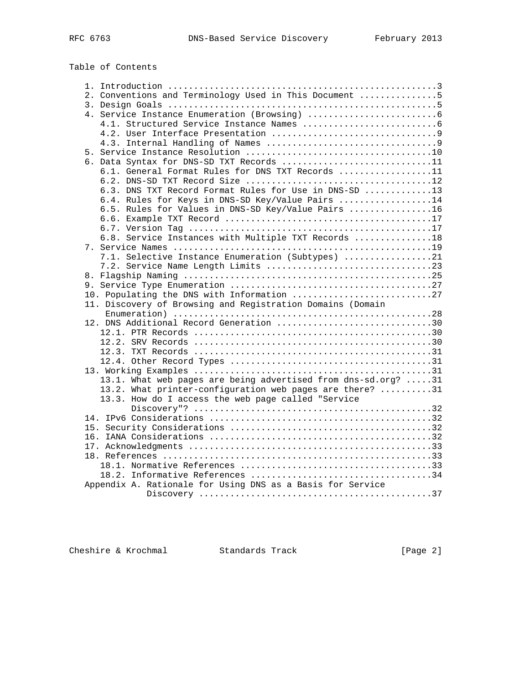# Table of Contents

|  | 2. Conventions and Terminology Used in This Document 5        |
|--|---------------------------------------------------------------|
|  |                                                               |
|  |                                                               |
|  |                                                               |
|  |                                                               |
|  |                                                               |
|  |                                                               |
|  | 6. Data Syntax for DNS-SD TXT Records 11                      |
|  | 6.1. General Format Rules for DNS TXT Records 11              |
|  |                                                               |
|  | 6.3. DNS TXT Record Format Rules for Use in DNS-SD 13         |
|  | 6.4. Rules for Keys in DNS-SD Key/Value Pairs 14              |
|  | 6.5. Rules for Values in DNS-SD Key/Value Pairs 16            |
|  |                                                               |
|  |                                                               |
|  | 6.8. Service Instances with Multiple TXT Records 18           |
|  |                                                               |
|  | 7.1. Selective Instance Enumeration (Subtypes) 21             |
|  |                                                               |
|  |                                                               |
|  |                                                               |
|  | 10. Populating the DNS with Information 27                    |
|  | 11. Discovery of Browsing and Registration Domains (Domain    |
|  |                                                               |
|  | 12. DNS Additional Record Generation 30                       |
|  |                                                               |
|  |                                                               |
|  |                                                               |
|  |                                                               |
|  |                                                               |
|  | 13.1. What web pages are being advertised from dns-sd.org? 31 |
|  | 13.2. What printer-configuration web pages are there? 31      |
|  | 13.3. How do I access the web page called "Service            |
|  |                                                               |
|  |                                                               |
|  |                                                               |
|  |                                                               |
|  |                                                               |
|  |                                                               |
|  |                                                               |
|  |                                                               |
|  |                                                               |
|  | Appendix A. Rationale for Using DNS as a Basis for Service    |
|  |                                                               |

Cheshire & Krochmal Standards Track [Page 2]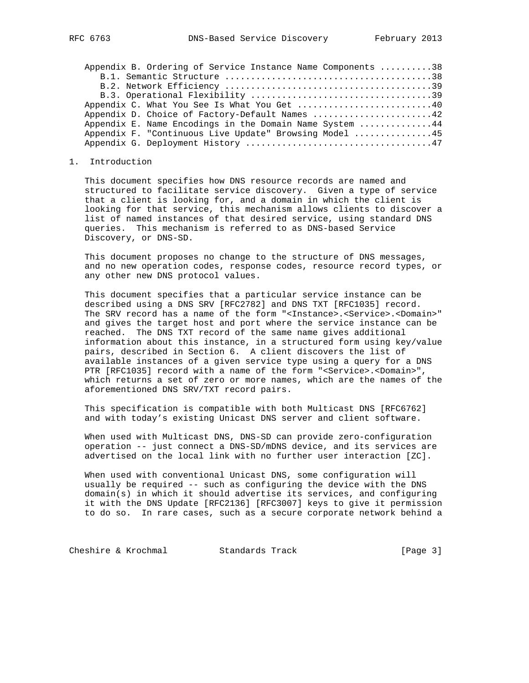| Appendix B. Ordering of Service Instance Name Components 38 |
|-------------------------------------------------------------|
|                                                             |
|                                                             |
|                                                             |
| Appendix C. What You See Is What You Get 40                 |
| Appendix D. Choice of Factory-Default Names 42              |
| Appendix E. Name Encodings in the Domain Name System 44     |
| Appendix F. "Continuous Live Update" Browsing Model 45      |
|                                                             |
|                                                             |

1. Introduction

 This document specifies how DNS resource records are named and structured to facilitate service discovery. Given a type of service that a client is looking for, and a domain in which the client is looking for that service, this mechanism allows clients to discover a list of named instances of that desired service, using standard DNS queries. This mechanism is referred to as DNS-based Service Discovery, or DNS-SD.

 This document proposes no change to the structure of DNS messages, and no new operation codes, response codes, resource record types, or any other new DNS protocol values.

 This document specifies that a particular service instance can be described using a DNS SRV [RFC2782] and DNS TXT [RFC1035] record. The SRV record has a name of the form "<Instance>.<Service>.<Domain>" and gives the target host and port where the service instance can be reached. The DNS TXT record of the same name gives additional information about this instance, in a structured form using key/value pairs, described in Section 6. A client discovers the list of available instances of a given service type using a query for a DNS PTR [RFC1035] record with a name of the form "<Service>.<Domain>", which returns a set of zero or more names, which are the names of the aforementioned DNS SRV/TXT record pairs.

 This specification is compatible with both Multicast DNS [RFC6762] and with today's existing Unicast DNS server and client software.

 When used with Multicast DNS, DNS-SD can provide zero-configuration operation -- just connect a DNS-SD/mDNS device, and its services are advertised on the local link with no further user interaction [ZC].

 When used with conventional Unicast DNS, some configuration will usually be required -- such as configuring the device with the DNS domain(s) in which it should advertise its services, and configuring it with the DNS Update [RFC2136] [RFC3007] keys to give it permission to do so. In rare cases, such as a secure corporate network behind a

Cheshire & Krochmal Standards Track [Page 3]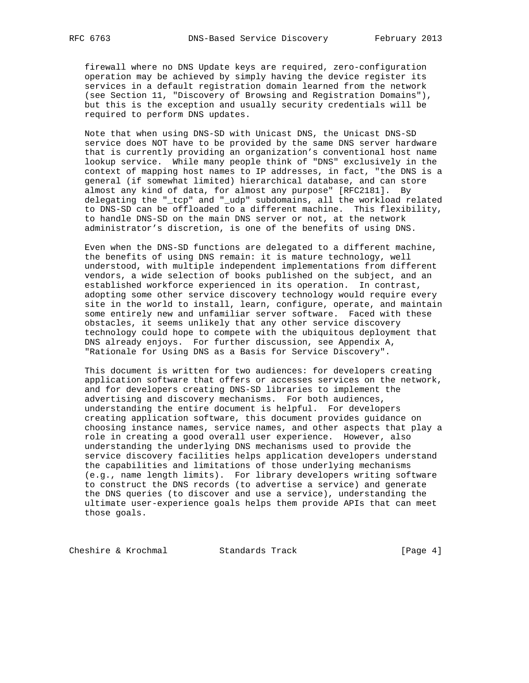firewall where no DNS Update keys are required, zero-configuration operation may be achieved by simply having the device register its services in a default registration domain learned from the network (see Section 11, "Discovery of Browsing and Registration Domains"), but this is the exception and usually security credentials will be required to perform DNS updates.

 Note that when using DNS-SD with Unicast DNS, the Unicast DNS-SD service does NOT have to be provided by the same DNS server hardware that is currently providing an organization's conventional host name lookup service. While many people think of "DNS" exclusively in the context of mapping host names to IP addresses, in fact, "the DNS is a general (if somewhat limited) hierarchical database, and can store almost any kind of data, for almost any purpose" [RFC2181]. By delegating the "\_tcp" and "\_udp" subdomains, all the workload related to DNS-SD can be offloaded to a different machine. This flexibility, to handle DNS-SD on the main DNS server or not, at the network administrator's discretion, is one of the benefits of using DNS.

 Even when the DNS-SD functions are delegated to a different machine, the benefits of using DNS remain: it is mature technology, well understood, with multiple independent implementations from different vendors, a wide selection of books published on the subject, and an established workforce experienced in its operation. In contrast, adopting some other service discovery technology would require every site in the world to install, learn, configure, operate, and maintain some entirely new and unfamiliar server software. Faced with these obstacles, it seems unlikely that any other service discovery technology could hope to compete with the ubiquitous deployment that DNS already enjoys. For further discussion, see Appendix A, "Rationale for Using DNS as a Basis for Service Discovery".

 This document is written for two audiences: for developers creating application software that offers or accesses services on the network, and for developers creating DNS-SD libraries to implement the advertising and discovery mechanisms. For both audiences, understanding the entire document is helpful. For developers creating application software, this document provides guidance on choosing instance names, service names, and other aspects that play a role in creating a good overall user experience. However, also understanding the underlying DNS mechanisms used to provide the service discovery facilities helps application developers understand the capabilities and limitations of those underlying mechanisms (e.g., name length limits). For library developers writing software to construct the DNS records (to advertise a service) and generate the DNS queries (to discover and use a service), understanding the ultimate user-experience goals helps them provide APIs that can meet those goals.

Cheshire & Krochmal Standards Track [Page 4]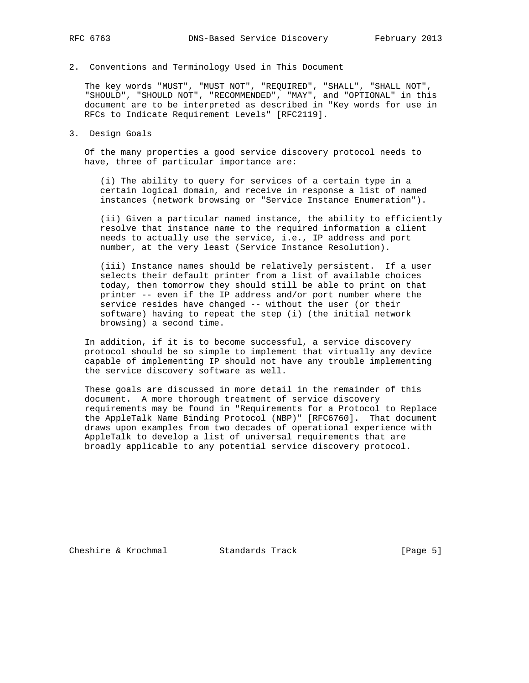2. Conventions and Terminology Used in This Document

 The key words "MUST", "MUST NOT", "REQUIRED", "SHALL", "SHALL NOT", "SHOULD", "SHOULD NOT", "RECOMMENDED", "MAY", and "OPTIONAL" in this document are to be interpreted as described in "Key words for use in RFCs to Indicate Requirement Levels" [RFC2119].

3. Design Goals

 Of the many properties a good service discovery protocol needs to have, three of particular importance are:

 (i) The ability to query for services of a certain type in a certain logical domain, and receive in response a list of named instances (network browsing or "Service Instance Enumeration").

 (ii) Given a particular named instance, the ability to efficiently resolve that instance name to the required information a client needs to actually use the service, i.e., IP address and port number, at the very least (Service Instance Resolution).

 (iii) Instance names should be relatively persistent. If a user selects their default printer from a list of available choices today, then tomorrow they should still be able to print on that printer -- even if the IP address and/or port number where the service resides have changed -- without the user (or their software) having to repeat the step (i) (the initial network browsing) a second time.

 In addition, if it is to become successful, a service discovery protocol should be so simple to implement that virtually any device capable of implementing IP should not have any trouble implementing the service discovery software as well.

 These goals are discussed in more detail in the remainder of this document. A more thorough treatment of service discovery requirements may be found in "Requirements for a Protocol to Replace the AppleTalk Name Binding Protocol (NBP)" [RFC6760]. That document draws upon examples from two decades of operational experience with AppleTalk to develop a list of universal requirements that are broadly applicable to any potential service discovery protocol.

Cheshire & Krochmal Standards Track [Page 5]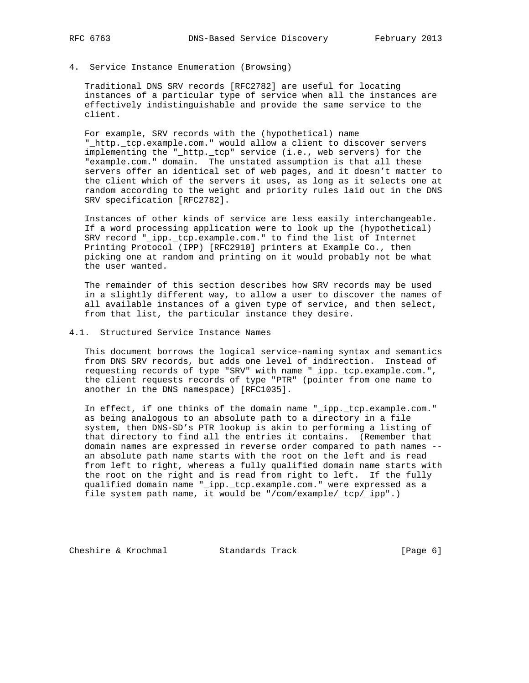#### 4. Service Instance Enumeration (Browsing)

 Traditional DNS SRV records [RFC2782] are useful for locating instances of a particular type of service when all the instances are effectively indistinguishable and provide the same service to the client.

 For example, SRV records with the (hypothetical) name "\_http.\_tcp.example.com." would allow a client to discover servers implementing the "\_http.\_tcp" service (i.e., web servers) for the "example.com." domain. The unstated assumption is that all these servers offer an identical set of web pages, and it doesn't matter to the client which of the servers it uses, as long as it selects one at random according to the weight and priority rules laid out in the DNS SRV specification [RFC2782].

 Instances of other kinds of service are less easily interchangeable. If a word processing application were to look up the (hypothetical) SRV record "\_ipp.\_tcp.example.com." to find the list of Internet Printing Protocol (IPP) [RFC2910] printers at Example Co., then picking one at random and printing on it would probably not be what the user wanted.

 The remainder of this section describes how SRV records may be used in a slightly different way, to allow a user to discover the names of all available instances of a given type of service, and then select, from that list, the particular instance they desire.

#### 4.1. Structured Service Instance Names

 This document borrows the logical service-naming syntax and semantics from DNS SRV records, but adds one level of indirection. Instead of requesting records of type "SRV" with name "\_ipp.\_tcp.example.com.", the client requests records of type "PTR" (pointer from one name to another in the DNS namespace) [RFC1035].

 In effect, if one thinks of the domain name "\_ipp.\_tcp.example.com." as being analogous to an absolute path to a directory in a file system, then DNS-SD's PTR lookup is akin to performing a listing of that directory to find all the entries it contains. (Remember that domain names are expressed in reverse order compared to path names - an absolute path name starts with the root on the left and is read from left to right, whereas a fully qualified domain name starts with the root on the right and is read from right to left. If the fully qualified domain name "\_ipp.\_tcp.example.com." were expressed as a file system path name, it would be "/com/example/\_tcp/\_ipp".)

Cheshire & Krochmal Standards Track [Page 6]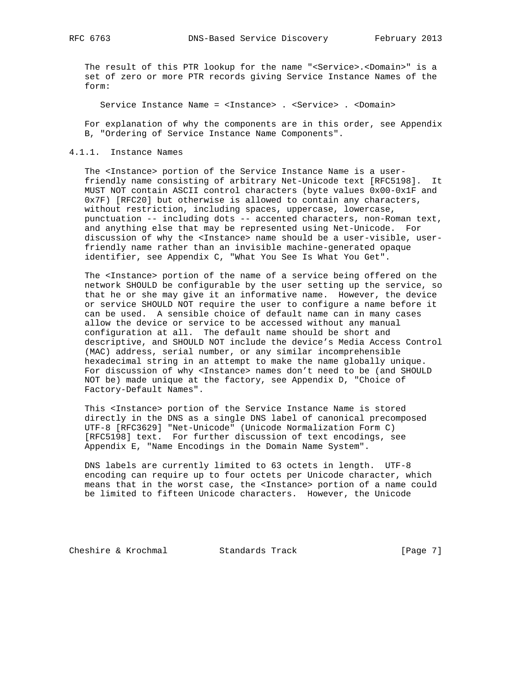The result of this PTR lookup for the name "<Service>.<Domain>" is a set of zero or more PTR records giving Service Instance Names of the form:

Service Instance Name = <Instance> . <Service> . <Domain>

 For explanation of why the components are in this order, see Appendix B, "Ordering of Service Instance Name Components".

#### 4.1.1. Instance Names

 The <Instance> portion of the Service Instance Name is a user friendly name consisting of arbitrary Net-Unicode text [RFC5198]. It MUST NOT contain ASCII control characters (byte values 0x00-0x1F and 0x7F) [RFC20] but otherwise is allowed to contain any characters, without restriction, including spaces, uppercase, lowercase, punctuation -- including dots -- accented characters, non-Roman text, and anything else that may be represented using Net-Unicode. For discussion of why the <Instance> name should be a user-visible, user friendly name rather than an invisible machine-generated opaque identifier, see Appendix C, "What You See Is What You Get".

 The <Instance> portion of the name of a service being offered on the network SHOULD be configurable by the user setting up the service, so that he or she may give it an informative name. However, the device or service SHOULD NOT require the user to configure a name before it can be used. A sensible choice of default name can in many cases allow the device or service to be accessed without any manual configuration at all. The default name should be short and descriptive, and SHOULD NOT include the device's Media Access Control (MAC) address, serial number, or any similar incomprehensible hexadecimal string in an attempt to make the name globally unique. For discussion of why <Instance> names don't need to be (and SHOULD NOT be) made unique at the factory, see Appendix D, "Choice of Factory-Default Names".

 This <Instance> portion of the Service Instance Name is stored directly in the DNS as a single DNS label of canonical precomposed UTF-8 [RFC3629] "Net-Unicode" (Unicode Normalization Form C) [RFC5198] text. For further discussion of text encodings, see Appendix E, "Name Encodings in the Domain Name System".

 DNS labels are currently limited to 63 octets in length. UTF-8 encoding can require up to four octets per Unicode character, which means that in the worst case, the <Instance> portion of a name could be limited to fifteen Unicode characters. However, the Unicode

Cheshire & Krochmal Standards Track [Page 7]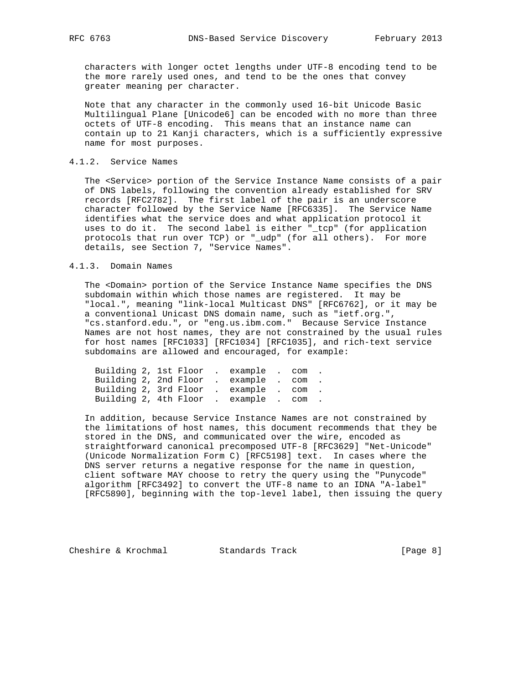characters with longer octet lengths under UTF-8 encoding tend to be the more rarely used ones, and tend to be the ones that convey greater meaning per character.

 Note that any character in the commonly used 16-bit Unicode Basic Multilingual Plane [Unicode6] can be encoded with no more than three octets of UTF-8 encoding. This means that an instance name can contain up to 21 Kanji characters, which is a sufficiently expressive name for most purposes.

## 4.1.2. Service Names

 The <Service> portion of the Service Instance Name consists of a pair of DNS labels, following the convention already established for SRV records [RFC2782]. The first label of the pair is an underscore character followed by the Service Name [RFC6335]. The Service Name identifies what the service does and what application protocol it uses to do it. The second label is either "\_tcp" (for application protocols that run over TCP) or "\_udp" (for all others). For more details, see Section 7, "Service Names".

#### 4.1.3. Domain Names

 The <Domain> portion of the Service Instance Name specifies the DNS subdomain within which those names are registered. It may be "local.", meaning "link-local Multicast DNS" [RFC6762], or it may be a conventional Unicast DNS domain name, such as "ietf.org.", "cs.stanford.edu.", or "eng.us.ibm.com." Because Service Instance Names are not host names, they are not constrained by the usual rules for host names [RFC1033] [RFC1034] [RFC1035], and rich-text service subdomains are allowed and encouraged, for example:

| Building 2, 1st Floor . example . com . |  |  |  |  |
|-----------------------------------------|--|--|--|--|
| Building 2, 2nd Floor . example . com . |  |  |  |  |
| Building 2, 3rd Floor . example . com . |  |  |  |  |
| Building 2, 4th Floor . example . com . |  |  |  |  |

 In addition, because Service Instance Names are not constrained by the limitations of host names, this document recommends that they be stored in the DNS, and communicated over the wire, encoded as straightforward canonical precomposed UTF-8 [RFC3629] "Net-Unicode" (Unicode Normalization Form C) [RFC5198] text. In cases where the DNS server returns a negative response for the name in question, client software MAY choose to retry the query using the "Punycode" algorithm [RFC3492] to convert the UTF-8 name to an IDNA "A-label" [RFC5890], beginning with the top-level label, then issuing the query

Cheshire & Krochmal Standards Track [Page 8]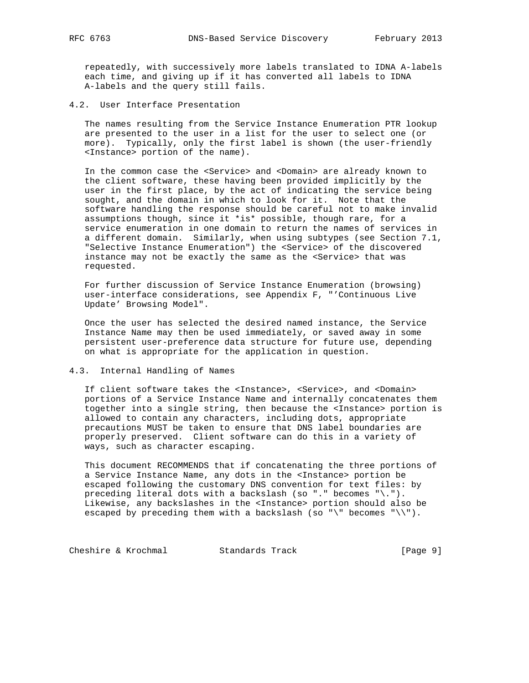repeatedly, with successively more labels translated to IDNA A-labels each time, and giving up if it has converted all labels to IDNA A-labels and the query still fails.

4.2. User Interface Presentation

 The names resulting from the Service Instance Enumeration PTR lookup are presented to the user in a list for the user to select one (or more). Typically, only the first label is shown (the user-friendly <Instance> portion of the name).

In the common case the <Service> and <Domain> are already known to the client software, these having been provided implicitly by the user in the first place, by the act of indicating the service being sought, and the domain in which to look for it. Note that the software handling the response should be careful not to make invalid assumptions though, since it \*is\* possible, though rare, for a service enumeration in one domain to return the names of services in a different domain. Similarly, when using subtypes (see Section 7.1, "Selective Instance Enumeration") the <Service> of the discovered instance may not be exactly the same as the <Service> that was requested.

 For further discussion of Service Instance Enumeration (browsing) user-interface considerations, see Appendix F, "'Continuous Live Update' Browsing Model".

 Once the user has selected the desired named instance, the Service Instance Name may then be used immediately, or saved away in some persistent user-preference data structure for future use, depending on what is appropriate for the application in question.

4.3. Internal Handling of Names

 If client software takes the <Instance>, <Service>, and <Domain> portions of a Service Instance Name and internally concatenates them together into a single string, then because the <Instance> portion is allowed to contain any characters, including dots, appropriate precautions MUST be taken to ensure that DNS label boundaries are properly preserved. Client software can do this in a variety of ways, such as character escaping.

 This document RECOMMENDS that if concatenating the three portions of a Service Instance Name, any dots in the <Instance> portion be escaped following the customary DNS convention for text files: by preceding literal dots with a backslash (so "." becomes "\."). Likewise, any backslashes in the <Instance> portion should also be escaped by preceding them with a backslash (so "\" becomes "\\").

Cheshire & Krochmal Standards Track [Page 9]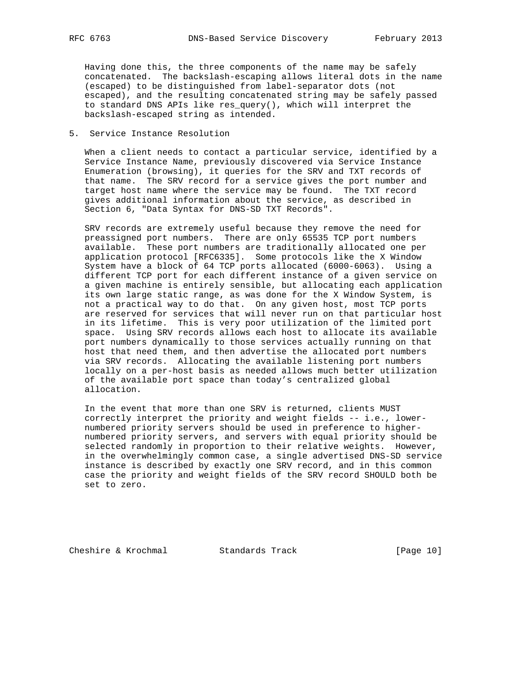Having done this, the three components of the name may be safely concatenated. The backslash-escaping allows literal dots in the name (escaped) to be distinguished from label-separator dots (not escaped), and the resulting concatenated string may be safely passed to standard DNS APIs like res\_query(), which will interpret the backslash-escaped string as intended.

5. Service Instance Resolution

 When a client needs to contact a particular service, identified by a Service Instance Name, previously discovered via Service Instance Enumeration (browsing), it queries for the SRV and TXT records of that name. The SRV record for a service gives the port number and target host name where the service may be found. The TXT record gives additional information about the service, as described in Section 6, "Data Syntax for DNS-SD TXT Records".

 SRV records are extremely useful because they remove the need for preassigned port numbers. There are only 65535 TCP port numbers available. These port numbers are traditionally allocated one per application protocol [RFC6335]. Some protocols like the X Window System have a block of 64 TCP ports allocated (6000-6063). Using a different TCP port for each different instance of a given service on a given machine is entirely sensible, but allocating each application its own large static range, as was done for the X Window System, is not a practical way to do that. On any given host, most TCP ports are reserved for services that will never run on that particular host in its lifetime. This is very poor utilization of the limited port space. Using SRV records allows each host to allocate its available port numbers dynamically to those services actually running on that host that need them, and then advertise the allocated port numbers via SRV records. Allocating the available listening port numbers locally on a per-host basis as needed allows much better utilization of the available port space than today's centralized global allocation.

 In the event that more than one SRV is returned, clients MUST correctly interpret the priority and weight fields -- i.e., lower numbered priority servers should be used in preference to higher numbered priority servers, and servers with equal priority should be selected randomly in proportion to their relative weights. However, in the overwhelmingly common case, a single advertised DNS-SD service instance is described by exactly one SRV record, and in this common case the priority and weight fields of the SRV record SHOULD both be set to zero.

Cheshire & Krochmal Standards Track [Page 10]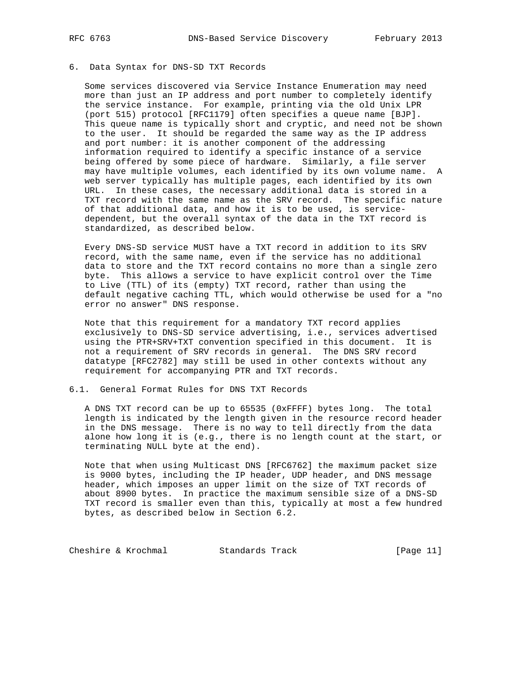## 6. Data Syntax for DNS-SD TXT Records

 Some services discovered via Service Instance Enumeration may need more than just an IP address and port number to completely identify the service instance. For example, printing via the old Unix LPR (port 515) protocol [RFC1179] often specifies a queue name [BJP]. This queue name is typically short and cryptic, and need not be shown to the user. It should be regarded the same way as the IP address and port number: it is another component of the addressing information required to identify a specific instance of a service being offered by some piece of hardware. Similarly, a file server may have multiple volumes, each identified by its own volume name. A web server typically has multiple pages, each identified by its own URL. In these cases, the necessary additional data is stored in a TXT record with the same name as the SRV record. The specific nature of that additional data, and how it is to be used, is service dependent, but the overall syntax of the data in the TXT record is standardized, as described below.

 Every DNS-SD service MUST have a TXT record in addition to its SRV record, with the same name, even if the service has no additional data to store and the TXT record contains no more than a single zero byte. This allows a service to have explicit control over the Time to Live (TTL) of its (empty) TXT record, rather than using the default negative caching TTL, which would otherwise be used for a "no error no answer" DNS response.

 Note that this requirement for a mandatory TXT record applies exclusively to DNS-SD service advertising, i.e., services advertised using the PTR+SRV+TXT convention specified in this document. It is not a requirement of SRV records in general. The DNS SRV record datatype [RFC2782] may still be used in other contexts without any requirement for accompanying PTR and TXT records.

## 6.1. General Format Rules for DNS TXT Records

 A DNS TXT record can be up to 65535 (0xFFFF) bytes long. The total length is indicated by the length given in the resource record header in the DNS message. There is no way to tell directly from the data alone how long it is (e.g., there is no length count at the start, or terminating NULL byte at the end).

 Note that when using Multicast DNS [RFC6762] the maximum packet size is 9000 bytes, including the IP header, UDP header, and DNS message header, which imposes an upper limit on the size of TXT records of about 8900 bytes. In practice the maximum sensible size of a DNS-SD TXT record is smaller even than this, typically at most a few hundred bytes, as described below in Section 6.2.

Cheshire & Krochmal Standards Track [Page 11]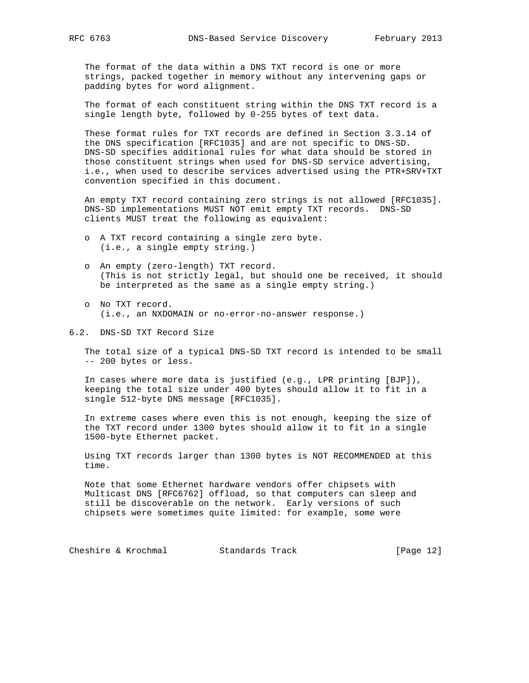The format of the data within a DNS TXT record is one or more strings, packed together in memory without any intervening gaps or padding bytes for word alignment.

 The format of each constituent string within the DNS TXT record is a single length byte, followed by 0-255 bytes of text data.

 These format rules for TXT records are defined in Section 3.3.14 of the DNS specification [RFC1035] and are not specific to DNS-SD. DNS-SD specifies additional rules for what data should be stored in those constituent strings when used for DNS-SD service advertising, i.e., when used to describe services advertised using the PTR+SRV+TXT convention specified in this document.

 An empty TXT record containing zero strings is not allowed [RFC1035]. DNS-SD implementations MUST NOT emit empty TXT records. DNS-SD clients MUST treat the following as equivalent:

- o A TXT record containing a single zero byte. (i.e., a single empty string.)
- o An empty (zero-length) TXT record. (This is not strictly legal, but should one be received, it should be interpreted as the same as a single empty string.)
- o No TXT record. (i.e., an NXDOMAIN or no-error-no-answer response.)
- 6.2. DNS-SD TXT Record Size

 The total size of a typical DNS-SD TXT record is intended to be small -- 200 bytes or less.

 In cases where more data is justified (e.g., LPR printing [BJP]), keeping the total size under 400 bytes should allow it to fit in a single 512-byte DNS message [RFC1035].

 In extreme cases where even this is not enough, keeping the size of the TXT record under 1300 bytes should allow it to fit in a single 1500-byte Ethernet packet.

 Using TXT records larger than 1300 bytes is NOT RECOMMENDED at this time.

 Note that some Ethernet hardware vendors offer chipsets with Multicast DNS [RFC6762] offload, so that computers can sleep and still be discoverable on the network. Early versions of such chipsets were sometimes quite limited: for example, some were

Cheshire & Krochmal Standards Track [Page 12]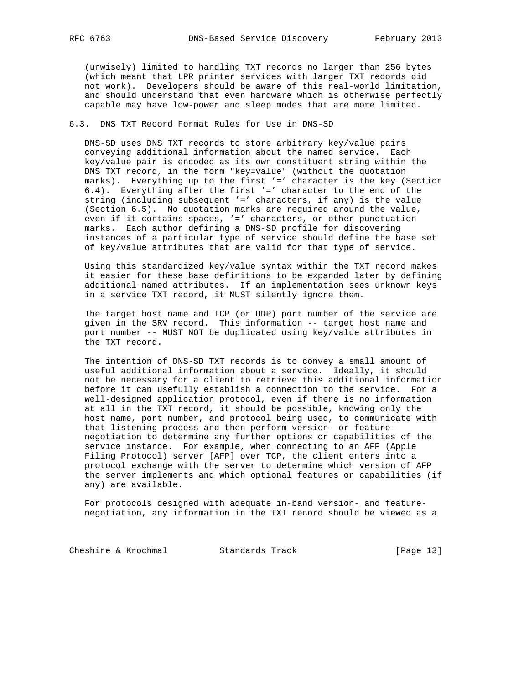(unwisely) limited to handling TXT records no larger than 256 bytes (which meant that LPR printer services with larger TXT records did not work). Developers should be aware of this real-world limitation, and should understand that even hardware which is otherwise perfectly capable may have low-power and sleep modes that are more limited.

## 6.3. DNS TXT Record Format Rules for Use in DNS-SD

 DNS-SD uses DNS TXT records to store arbitrary key/value pairs conveying additional information about the named service. Each key/value pair is encoded as its own constituent string within the DNS TXT record, in the form "key=value" (without the quotation marks). Everything up to the first '=' character is the key (Section 6.4). Everything after the first '=' character to the end of the string (including subsequent '=' characters, if any) is the value (Section 6.5). No quotation marks are required around the value, even if it contains spaces, '=' characters, or other punctuation marks. Each author defining a DNS-SD profile for discovering instances of a particular type of service should define the base set of key/value attributes that are valid for that type of service.

 Using this standardized key/value syntax within the TXT record makes it easier for these base definitions to be expanded later by defining additional named attributes. If an implementation sees unknown keys in a service TXT record, it MUST silently ignore them.

 The target host name and TCP (or UDP) port number of the service are given in the SRV record. This information -- target host name and port number -- MUST NOT be duplicated using key/value attributes in the TXT record.

 The intention of DNS-SD TXT records is to convey a small amount of useful additional information about a service. Ideally, it should not be necessary for a client to retrieve this additional information before it can usefully establish a connection to the service. For a well-designed application protocol, even if there is no information at all in the TXT record, it should be possible, knowing only the host name, port number, and protocol being used, to communicate with that listening process and then perform version- or feature negotiation to determine any further options or capabilities of the service instance. For example, when connecting to an AFP (Apple Filing Protocol) server [AFP] over TCP, the client enters into a protocol exchange with the server to determine which version of AFP the server implements and which optional features or capabilities (if any) are available.

 For protocols designed with adequate in-band version- and feature negotiation, any information in the TXT record should be viewed as a

Cheshire & Krochmal Standards Track [Page 13]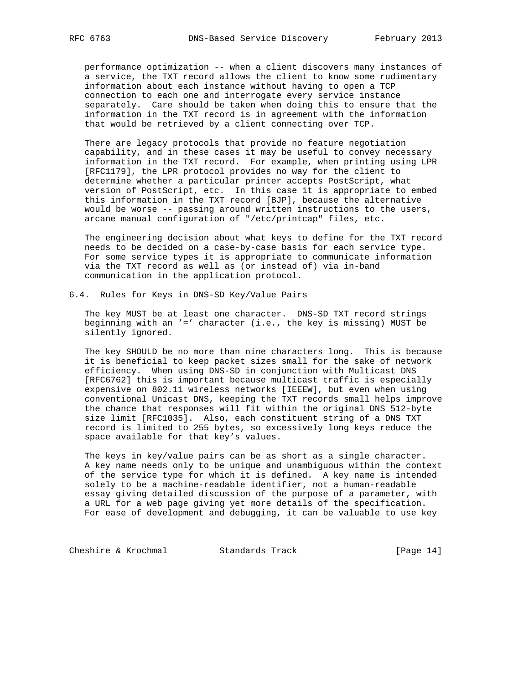performance optimization -- when a client discovers many instances of a service, the TXT record allows the client to know some rudimentary information about each instance without having to open a TCP connection to each one and interrogate every service instance separately. Care should be taken when doing this to ensure that the information in the TXT record is in agreement with the information that would be retrieved by a client connecting over TCP.

 There are legacy protocols that provide no feature negotiation capability, and in these cases it may be useful to convey necessary information in the TXT record. For example, when printing using LPR [RFC1179], the LPR protocol provides no way for the client to determine whether a particular printer accepts PostScript, what version of PostScript, etc. In this case it is appropriate to embed this information in the TXT record [BJP], because the alternative would be worse -- passing around written instructions to the users, arcane manual configuration of "/etc/printcap" files, etc.

 The engineering decision about what keys to define for the TXT record needs to be decided on a case-by-case basis for each service type. For some service types it is appropriate to communicate information via the TXT record as well as (or instead of) via in-band communication in the application protocol.

6.4. Rules for Keys in DNS-SD Key/Value Pairs

 The key MUST be at least one character. DNS-SD TXT record strings beginning with an '=' character (i.e., the key is missing) MUST be silently ignored.

 The key SHOULD be no more than nine characters long. This is because it is beneficial to keep packet sizes small for the sake of network efficiency. When using DNS-SD in conjunction with Multicast DNS [RFC6762] this is important because multicast traffic is especially expensive on 802.11 wireless networks [IEEEW], but even when using conventional Unicast DNS, keeping the TXT records small helps improve the chance that responses will fit within the original DNS 512-byte size limit [RFC1035]. Also, each constituent string of a DNS TXT record is limited to 255 bytes, so excessively long keys reduce the space available for that key's values.

 The keys in key/value pairs can be as short as a single character. A key name needs only to be unique and unambiguous within the context of the service type for which it is defined. A key name is intended solely to be a machine-readable identifier, not a human-readable essay giving detailed discussion of the purpose of a parameter, with a URL for a web page giving yet more details of the specification. For ease of development and debugging, it can be valuable to use key

Cheshire & Krochmal Standards Track [Page 14]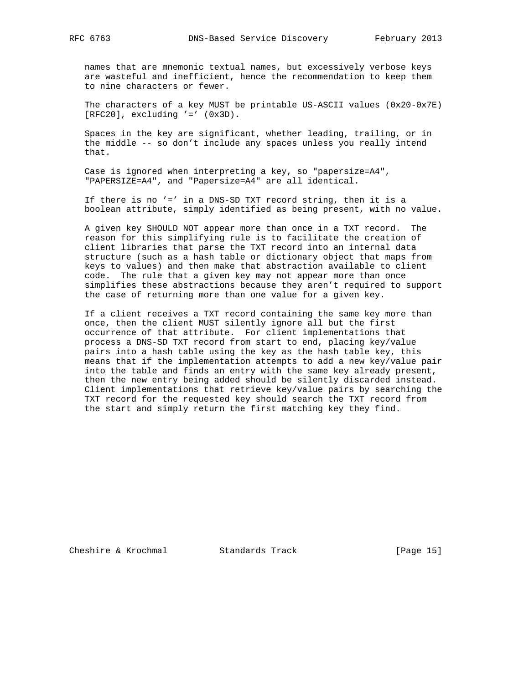names that are mnemonic textual names, but excessively verbose keys are wasteful and inefficient, hence the recommendation to keep them to nine characters or fewer.

 The characters of a key MUST be printable US-ASCII values (0x20-0x7E)  $[RFC20]$ , excluding '='  $(0x3D)$ .

 Spaces in the key are significant, whether leading, trailing, or in the middle -- so don't include any spaces unless you really intend that.

 Case is ignored when interpreting a key, so "papersize=A4", "PAPERSIZE=A4", and "Papersize=A4" are all identical.

 If there is no '=' in a DNS-SD TXT record string, then it is a boolean attribute, simply identified as being present, with no value.

 A given key SHOULD NOT appear more than once in a TXT record. The reason for this simplifying rule is to facilitate the creation of client libraries that parse the TXT record into an internal data structure (such as a hash table or dictionary object that maps from keys to values) and then make that abstraction available to client code. The rule that a given key may not appear more than once simplifies these abstractions because they aren't required to support the case of returning more than one value for a given key.

 If a client receives a TXT record containing the same key more than once, then the client MUST silently ignore all but the first occurrence of that attribute. For client implementations that process a DNS-SD TXT record from start to end, placing key/value pairs into a hash table using the key as the hash table key, this means that if the implementation attempts to add a new key/value pair into the table and finds an entry with the same key already present, then the new entry being added should be silently discarded instead. Client implementations that retrieve key/value pairs by searching the TXT record for the requested key should search the TXT record from the start and simply return the first matching key they find.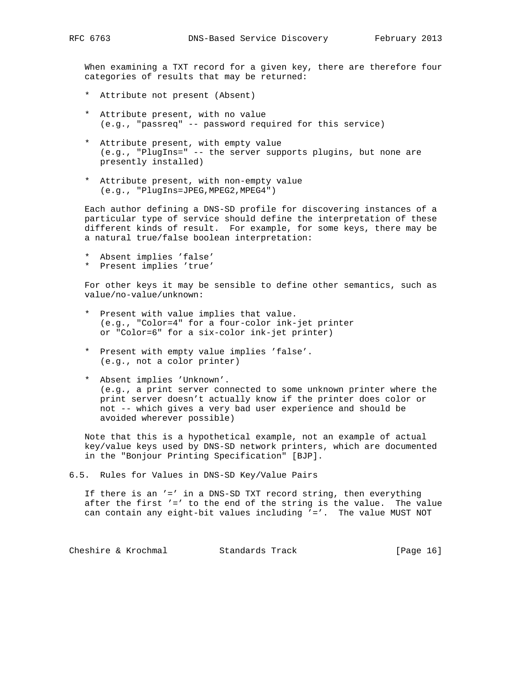When examining a TXT record for a given key, there are therefore four categories of results that may be returned:

- \* Attribute not present (Absent)
- \* Attribute present, with no value (e.g., "passreq" -- password required for this service)
- \* Attribute present, with empty value (e.g., "PlugIns=" -- the server supports plugins, but none are presently installed)
- \* Attribute present, with non-empty value (e.g., "PlugIns=JPEG,MPEG2,MPEG4")

 Each author defining a DNS-SD profile for discovering instances of a particular type of service should define the interpretation of these different kinds of result. For example, for some keys, there may be a natural true/false boolean interpretation:

- \* Absent implies 'false'
- \* Present implies 'true'

 For other keys it may be sensible to define other semantics, such as value/no-value/unknown:

- \* Present with value implies that value. (e.g., "Color=4" for a four-color ink-jet printer or "Color=6" for a six-color ink-jet printer)
- \* Present with empty value implies 'false'. (e.g., not a color printer)
- \* Absent implies 'Unknown'. (e.g., a print server connected to some unknown printer where the print server doesn't actually know if the printer does color or not -- which gives a very bad user experience and should be avoided wherever possible)

 Note that this is a hypothetical example, not an example of actual key/value keys used by DNS-SD network printers, which are documented in the "Bonjour Printing Specification" [BJP].

6.5. Rules for Values in DNS-SD Key/Value Pairs

 If there is an '=' in a DNS-SD TXT record string, then everything after the first '=' to the end of the string is the value. The value can contain any eight-bit values including '='. The value MUST NOT

Cheshire & Krochmal Standards Track [Page 16]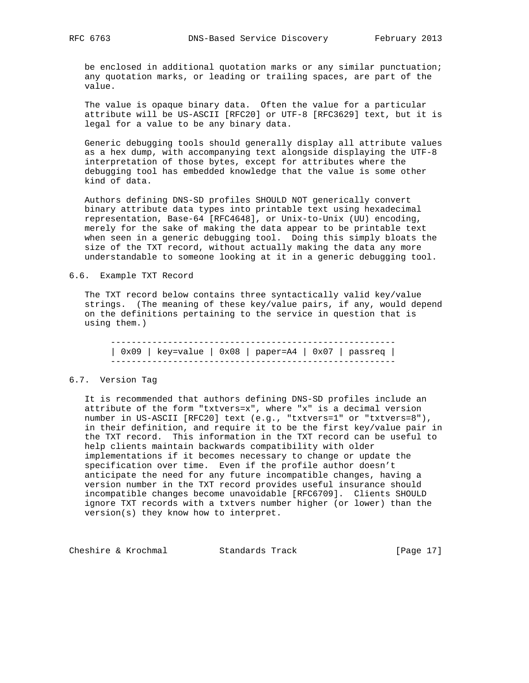be enclosed in additional quotation marks or any similar punctuation; any quotation marks, or leading or trailing spaces, are part of the value.

 The value is opaque binary data. Often the value for a particular attribute will be US-ASCII [RFC20] or UTF-8 [RFC3629] text, but it is legal for a value to be any binary data.

 Generic debugging tools should generally display all attribute values as a hex dump, with accompanying text alongside displaying the UTF-8 interpretation of those bytes, except for attributes where the debugging tool has embedded knowledge that the value is some other kind of data.

 Authors defining DNS-SD profiles SHOULD NOT generically convert binary attribute data types into printable text using hexadecimal representation, Base-64 [RFC4648], or Unix-to-Unix (UU) encoding, merely for the sake of making the data appear to be printable text when seen in a generic debugging tool. Doing this simply bloats the size of the TXT record, without actually making the data any more understandable to someone looking at it in a generic debugging tool.

#### 6.6. Example TXT Record

 The TXT record below contains three syntactically valid key/value strings. (The meaning of these key/value pairs, if any, would depend on the definitions pertaining to the service in question that is using them.)

 ------------------------------------------------------- | 0x09 | key=value | 0x08 | paper=A4 | 0x07 | passreq | -------------------------------------------------------

#### 6.7. Version Tag

 It is recommended that authors defining DNS-SD profiles include an attribute of the form "txtvers=x", where "x" is a decimal version number in US-ASCII [RFC20] text (e.g., "txtvers=1" or "txtvers=8"), in their definition, and require it to be the first key/value pair in the TXT record. This information in the TXT record can be useful to help clients maintain backwards compatibility with older implementations if it becomes necessary to change or update the specification over time. Even if the profile author doesn't anticipate the need for any future incompatible changes, having a version number in the TXT record provides useful insurance should incompatible changes become unavoidable [RFC6709]. Clients SHOULD ignore TXT records with a txtvers number higher (or lower) than the version(s) they know how to interpret.

Cheshire & Krochmal Standards Track [Page 17]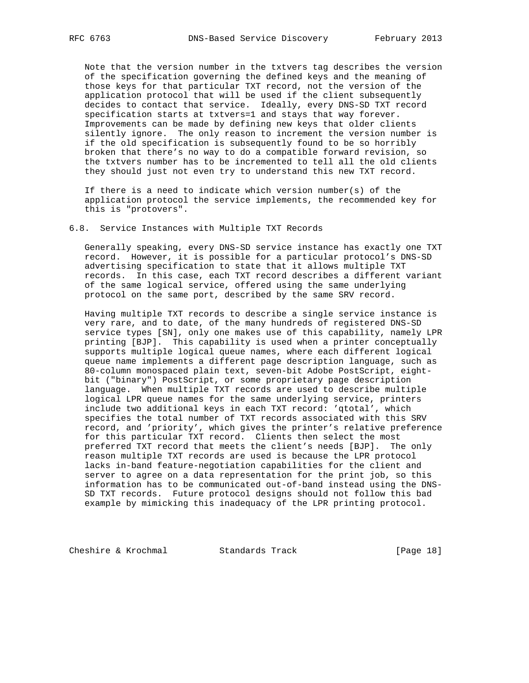Note that the version number in the txtvers tag describes the version of the specification governing the defined keys and the meaning of those keys for that particular TXT record, not the version of the application protocol that will be used if the client subsequently decides to contact that service. Ideally, every DNS-SD TXT record specification starts at txtvers=1 and stays that way forever. Improvements can be made by defining new keys that older clients silently ignore. The only reason to increment the version number is if the old specification is subsequently found to be so horribly broken that there's no way to do a compatible forward revision, so the txtvers number has to be incremented to tell all the old clients they should just not even try to understand this new TXT record.

If there is a need to indicate which version number(s) of the application protocol the service implements, the recommended key for this is "protovers".

#### 6.8. Service Instances with Multiple TXT Records

 Generally speaking, every DNS-SD service instance has exactly one TXT record. However, it is possible for a particular protocol's DNS-SD advertising specification to state that it allows multiple TXT records. In this case, each TXT record describes a different variant of the same logical service, offered using the same underlying protocol on the same port, described by the same SRV record.

 Having multiple TXT records to describe a single service instance is very rare, and to date, of the many hundreds of registered DNS-SD service types [SN], only one makes use of this capability, namely LPR printing [BJP]. This capability is used when a printer conceptually supports multiple logical queue names, where each different logical queue name implements a different page description language, such as 80-column monospaced plain text, seven-bit Adobe PostScript, eight bit ("binary") PostScript, or some proprietary page description language. When multiple TXT records are used to describe multiple logical LPR queue names for the same underlying service, printers include two additional keys in each TXT record: 'qtotal', which specifies the total number of TXT records associated with this SRV record, and 'priority', which gives the printer's relative preference for this particular TXT record. Clients then select the most preferred TXT record that meets the client's needs [BJP]. The only reason multiple TXT records are used is because the LPR protocol lacks in-band feature-negotiation capabilities for the client and server to agree on a data representation for the print job, so this information has to be communicated out-of-band instead using the DNS- SD TXT records. Future protocol designs should not follow this bad example by mimicking this inadequacy of the LPR printing protocol.

Cheshire & Krochmal Standards Track [Page 18]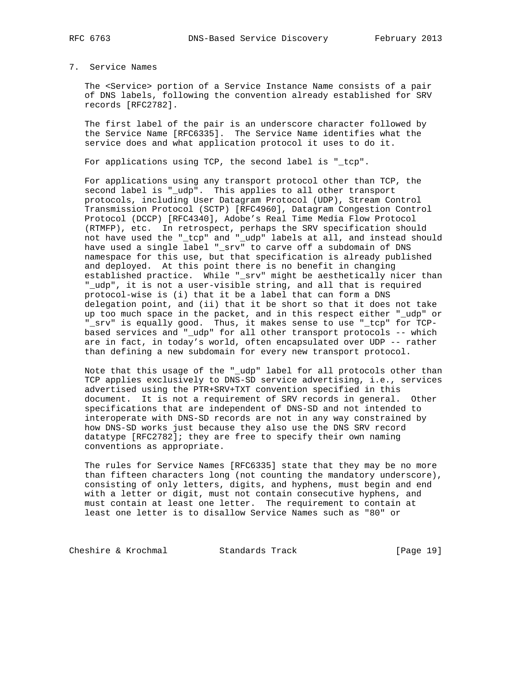### 7. Service Names

 The <Service> portion of a Service Instance Name consists of a pair of DNS labels, following the convention already established for SRV records [RFC2782].

 The first label of the pair is an underscore character followed by the Service Name [RFC6335]. The Service Name identifies what the service does and what application protocol it uses to do it.

For applications using TCP, the second label is "\_tcp".

 For applications using any transport protocol other than TCP, the second label is "\_udp". This applies to all other transport protocols, including User Datagram Protocol (UDP), Stream Control Transmission Protocol (SCTP) [RFC4960], Datagram Congestion Control Protocol (DCCP) [RFC4340], Adobe's Real Time Media Flow Protocol (RTMFP), etc. In retrospect, perhaps the SRV specification should not have used the "\_tcp" and "\_udp" labels at all, and instead should have used a single label "\_srv" to carve off a subdomain of DNS namespace for this use, but that specification is already published and deployed. At this point there is no benefit in changing established practice. While "\_srv" might be aesthetically nicer than "\_udp", it is not a user-visible string, and all that is required protocol-wise is (i) that it be a label that can form a DNS delegation point, and (ii) that it be short so that it does not take up too much space in the packet, and in this respect either "\_udp" or "\_srv" is equally good. Thus, it makes sense to use "\_tcp" for TCP based services and "\_udp" for all other transport protocols -- which are in fact, in today's world, often encapsulated over UDP -- rather than defining a new subdomain for every new transport protocol.

 Note that this usage of the "\_udp" label for all protocols other than TCP applies exclusively to DNS-SD service advertising, i.e., services advertised using the PTR+SRV+TXT convention specified in this document. It is not a requirement of SRV records in general. Other specifications that are independent of DNS-SD and not intended to interoperate with DNS-SD records are not in any way constrained by how DNS-SD works just because they also use the DNS SRV record datatype [RFC2782]; they are free to specify their own naming conventions as appropriate.

 The rules for Service Names [RFC6335] state that they may be no more than fifteen characters long (not counting the mandatory underscore), consisting of only letters, digits, and hyphens, must begin and end with a letter or digit, must not contain consecutive hyphens, and must contain at least one letter. The requirement to contain at least one letter is to disallow Service Names such as "80" or

Cheshire & Krochmal Standards Track [Page 19]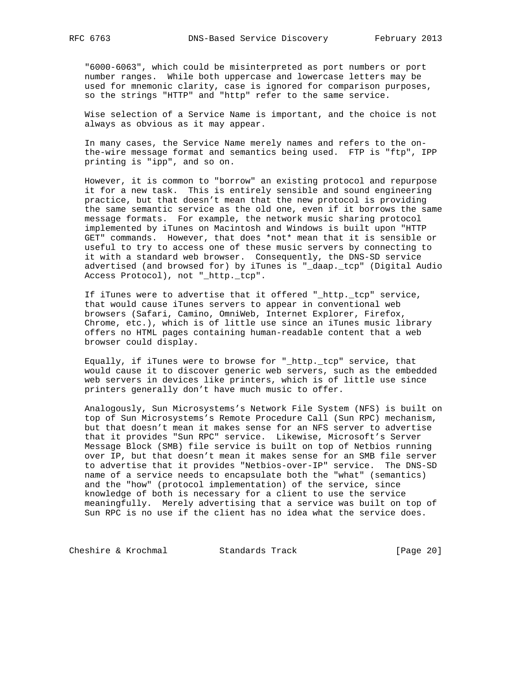"6000-6063", which could be misinterpreted as port numbers or port number ranges. While both uppercase and lowercase letters may be used for mnemonic clarity, case is ignored for comparison purposes, so the strings "HTTP" and "http" refer to the same service.

 Wise selection of a Service Name is important, and the choice is not always as obvious as it may appear.

 In many cases, the Service Name merely names and refers to the on the-wire message format and semantics being used. FTP is "ftp", IPP printing is "ipp", and so on.

 However, it is common to "borrow" an existing protocol and repurpose it for a new task. This is entirely sensible and sound engineering practice, but that doesn't mean that the new protocol is providing the same semantic service as the old one, even if it borrows the same message formats. For example, the network music sharing protocol implemented by iTunes on Macintosh and Windows is built upon "HTTP GET" commands. However, that does \*not\* mean that it is sensible or useful to try to access one of these music servers by connecting to it with a standard web browser. Consequently, the DNS-SD service advertised (and browsed for) by iTunes is "\_daap.\_tcp" (Digital Audio Access Protocol), not "\_http.\_tcp".

 If iTunes were to advertise that it offered "\_http.\_tcp" service, that would cause iTunes servers to appear in conventional web browsers (Safari, Camino, OmniWeb, Internet Explorer, Firefox, Chrome, etc.), which is of little use since an iTunes music library offers no HTML pages containing human-readable content that a web browser could display.

 Equally, if iTunes were to browse for "\_http.\_tcp" service, that would cause it to discover generic web servers, such as the embedded web servers in devices like printers, which is of little use since printers generally don't have much music to offer.

 Analogously, Sun Microsystems's Network File System (NFS) is built on top of Sun Microsystems's Remote Procedure Call (Sun RPC) mechanism, but that doesn't mean it makes sense for an NFS server to advertise that it provides "Sun RPC" service. Likewise, Microsoft's Server Message Block (SMB) file service is built on top of Netbios running over IP, but that doesn't mean it makes sense for an SMB file server to advertise that it provides "Netbios-over-IP" service. The DNS-SD name of a service needs to encapsulate both the "what" (semantics) and the "how" (protocol implementation) of the service, since knowledge of both is necessary for a client to use the service meaningfully. Merely advertising that a service was built on top of Sun RPC is no use if the client has no idea what the service does.

Cheshire & Krochmal Standards Track [Page 20]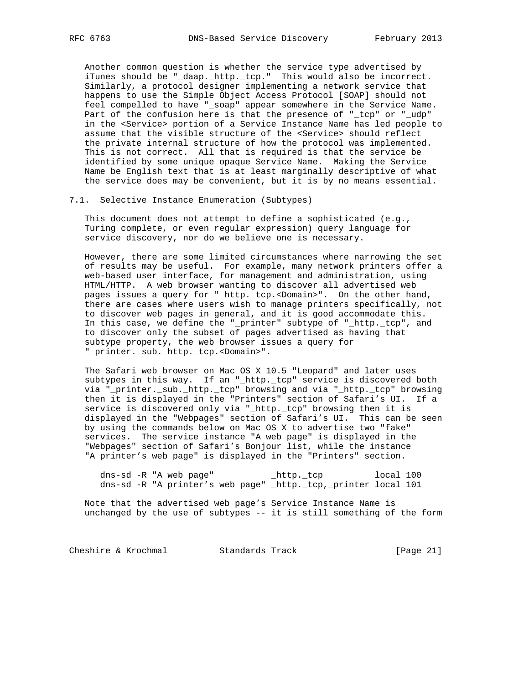Another common question is whether the service type advertised by iTunes should be "\_daap.\_http.\_tcp." This would also be incorrect. Similarly, a protocol designer implementing a network service that happens to use the Simple Object Access Protocol [SOAP] should not feel compelled to have "\_soap" appear somewhere in the Service Name. Part of the confusion here is that the presence of "\_tcp" or "\_udp" in the <Service> portion of a Service Instance Name has led people to assume that the visible structure of the <Service> should reflect the private internal structure of how the protocol was implemented. This is not correct. All that is required is that the service be identified by some unique opaque Service Name. Making the Service Name be English text that is at least marginally descriptive of what the service does may be convenient, but it is by no means essential.

#### 7.1. Selective Instance Enumeration (Subtypes)

 This document does not attempt to define a sophisticated (e.g., Turing complete, or even regular expression) query language for service discovery, nor do we believe one is necessary.

 However, there are some limited circumstances where narrowing the set of results may be useful. For example, many network printers offer a web-based user interface, for management and administration, using HTML/HTTP. A web browser wanting to discover all advertised web pages issues a query for "\_http.\_tcp.<Domain>". On the other hand, there are cases where users wish to manage printers specifically, not to discover web pages in general, and it is good accommodate this. In this case, we define the "\_printer" subtype of "\_http.\_tcp", and to discover only the subset of pages advertised as having that subtype property, the web browser issues a query for "\_printer.\_sub.\_http.\_tcp.<Domain>".

 The Safari web browser on Mac OS X 10.5 "Leopard" and later uses subtypes in this way. If an " http. tcp" service is discovered both via "\_printer.\_sub.\_http.\_tcp" browsing and via "\_http.\_tcp" browsing then it is displayed in the "Printers" section of Safari's UI. If a service is discovered only via "\_http.\_tcp" browsing then it is displayed in the "Webpages" section of Safari's UI. This can be seen by using the commands below on Mac OS X to advertise two "fake" services. The service instance "A web page" is displayed in the "Webpages" section of Safari's Bonjour list, while the instance "A printer's web page" is displayed in the "Printers" section.

 dns-sd -R "A web page" \_http.\_tcp local 100 dns-sd -R "A printer's web page" \_http.\_tcp,\_printer local 101

 Note that the advertised web page's Service Instance Name is unchanged by the use of subtypes -- it is still something of the form

Cheshire & Krochmal Standards Track [Page 21]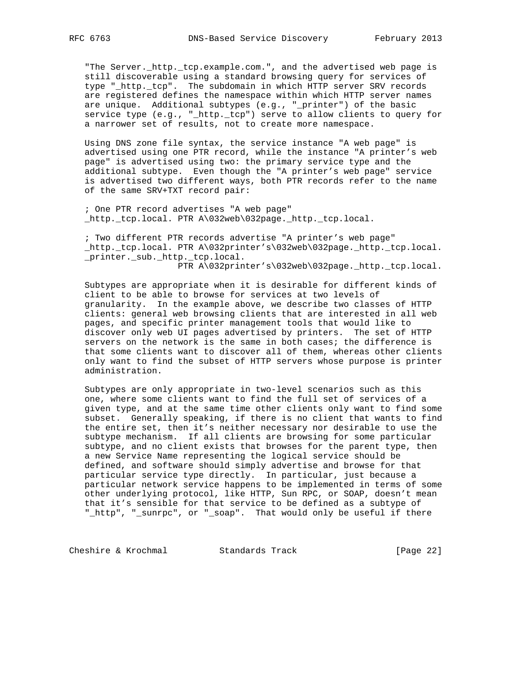"The Server.\_http.\_tcp.example.com.", and the advertised web page is still discoverable using a standard browsing query for services of type "\_http.\_tcp". The subdomain in which HTTP server SRV records are registered defines the namespace within which HTTP server names are unique. Additional subtypes (e.g., "\_printer") of the basic service type (e.g., "\_http.\_tcp") serve to allow clients to query for a narrower set of results, not to create more namespace.

 Using DNS zone file syntax, the service instance "A web page" is advertised using one PTR record, while the instance "A printer's web page" is advertised using two: the primary service type and the additional subtype. Even though the "A printer's web page" service is advertised two different ways, both PTR records refer to the name of the same SRV+TXT record pair:

 ; One PTR record advertises "A web page" \_http.\_tcp.local. PTR A\032web\032page.\_http.\_tcp.local.

 ; Two different PTR records advertise "A printer's web page" \_http.\_tcp.local. PTR A\032printer's\032web\032page.\_http.\_tcp.local. \_printer.\_sub.\_http.\_tcp.local.

PTR A\032printer's\032web\032page.\_http.\_tcp.local.

 Subtypes are appropriate when it is desirable for different kinds of client to be able to browse for services at two levels of granularity. In the example above, we describe two classes of HTTP clients: general web browsing clients that are interested in all web pages, and specific printer management tools that would like to discover only web UI pages advertised by printers. The set of HTTP servers on the network is the same in both cases; the difference is that some clients want to discover all of them, whereas other clients only want to find the subset of HTTP servers whose purpose is printer administration.

 Subtypes are only appropriate in two-level scenarios such as this one, where some clients want to find the full set of services of a given type, and at the same time other clients only want to find some subset. Generally speaking, if there is no client that wants to find the entire set, then it's neither necessary nor desirable to use the subtype mechanism. If all clients are browsing for some particular subtype, and no client exists that browses for the parent type, then a new Service Name representing the logical service should be defined, and software should simply advertise and browse for that particular service type directly. In particular, just because a particular network service happens to be implemented in terms of some other underlying protocol, like HTTP, Sun RPC, or SOAP, doesn't mean that it's sensible for that service to be defined as a subtype of "\_http", "\_sunrpc", or "\_soap". That would only be useful if there

Cheshire & Krochmal Standards Track [Page 22]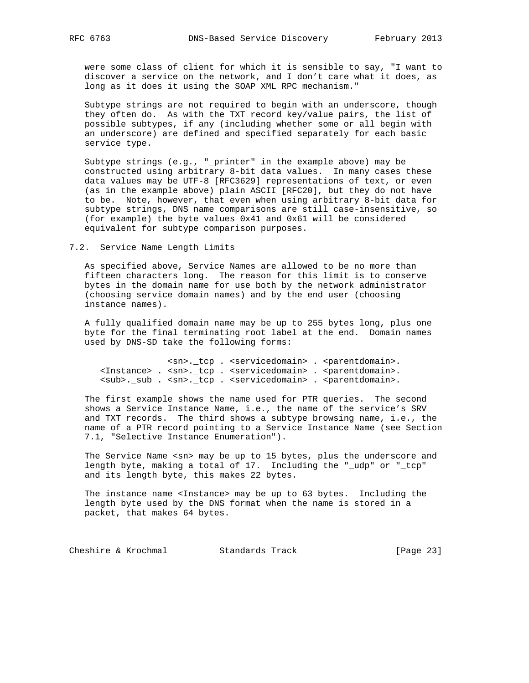were some class of client for which it is sensible to say, "I want to discover a service on the network, and I don't care what it does, as long as it does it using the SOAP XML RPC mechanism."

 Subtype strings are not required to begin with an underscore, though they often do. As with the TXT record key/value pairs, the list of possible subtypes, if any (including whether some or all begin with an underscore) are defined and specified separately for each basic service type.

 Subtype strings (e.g., "\_printer" in the example above) may be constructed using arbitrary 8-bit data values. In many cases these data values may be UTF-8 [RFC3629] representations of text, or even (as in the example above) plain ASCII [RFC20], but they do not have to be. Note, however, that even when using arbitrary 8-bit data for subtype strings, DNS name comparisons are still case-insensitive, so (for example) the byte values 0x41 and 0x61 will be considered equivalent for subtype comparison purposes.

7.2. Service Name Length Limits

 As specified above, Service Names are allowed to be no more than fifteen characters long. The reason for this limit is to conserve bytes in the domain name for use both by the network administrator (choosing service domain names) and by the end user (choosing instance names).

 A fully qualified domain name may be up to 255 bytes long, plus one byte for the final terminating root label at the end. Domain names used by DNS-SD take the following forms:

 <sn>.\_tcp . <servicedomain> . <parentdomain>. <Instance> . <sn>.\_tcp . <servicedomain> . <parentdomain>. <sub>.\_sub . <sn>.\_tcp . <servicedomain> . <parentdomain>.

 The first example shows the name used for PTR queries. The second shows a Service Instance Name, i.e., the name of the service's SRV and TXT records. The third shows a subtype browsing name, i.e., the name of a PTR record pointing to a Service Instance Name (see Section 7.1, "Selective Instance Enumeration").

The Service Name <sn> may be up to 15 bytes, plus the underscore and length byte, making a total of 17. Including the "\_udp" or "\_tcp" and its length byte, this makes 22 bytes.

The instance name <Instance> may be up to 63 bytes. Including the length byte used by the DNS format when the name is stored in a packet, that makes 64 bytes.

Cheshire & Krochmal Standards Track [Page 23]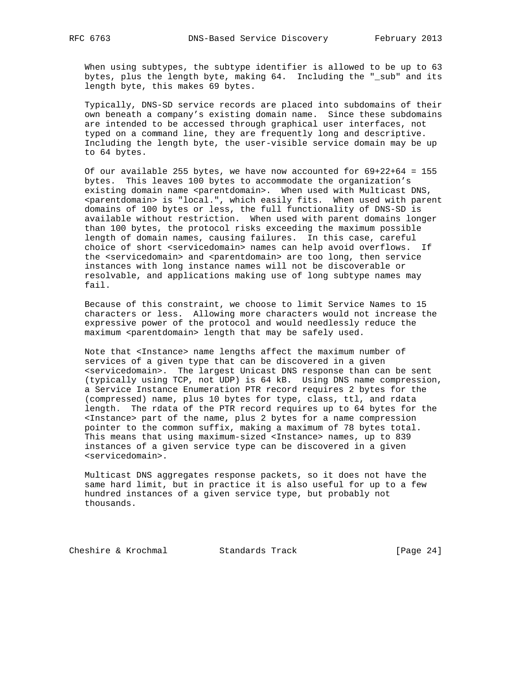When using subtypes, the subtype identifier is allowed to be up to 63 bytes, plus the length byte, making 64. Including the "\_sub" and its length byte, this makes 69 bytes.

 Typically, DNS-SD service records are placed into subdomains of their own beneath a company's existing domain name. Since these subdomains are intended to be accessed through graphical user interfaces, not typed on a command line, they are frequently long and descriptive. Including the length byte, the user-visible service domain may be up to 64 bytes.

 Of our available 255 bytes, we have now accounted for 69+22+64 = 155 bytes. This leaves 100 bytes to accommodate the organization's existing domain name <parentdomain>. When used with Multicast DNS, <parentdomain> is "local.", which easily fits. When used with parent domains of 100 bytes or less, the full functionality of DNS-SD is available without restriction. When used with parent domains longer than 100 bytes, the protocol risks exceeding the maximum possible length of domain names, causing failures. In this case, careful choice of short <servicedomain> names can help avoid overflows. If the <servicedomain> and <parentdomain> are too long, then service instances with long instance names will not be discoverable or resolvable, and applications making use of long subtype names may fail.

 Because of this constraint, we choose to limit Service Names to 15 characters or less. Allowing more characters would not increase the expressive power of the protocol and would needlessly reduce the maximum <parentdomain> length that may be safely used.

 Note that <Instance> name lengths affect the maximum number of services of a given type that can be discovered in a given <servicedomain>. The largest Unicast DNS response than can be sent (typically using TCP, not UDP) is 64 kB. Using DNS name compression, a Service Instance Enumeration PTR record requires 2 bytes for the (compressed) name, plus 10 bytes for type, class, ttl, and rdata length. The rdata of the PTR record requires up to 64 bytes for the <Instance> part of the name, plus 2 bytes for a name compression pointer to the common suffix, making a maximum of 78 bytes total. This means that using maximum-sized <Instance> names, up to 839 instances of a given service type can be discovered in a given <servicedomain>.

 Multicast DNS aggregates response packets, so it does not have the same hard limit, but in practice it is also useful for up to a few hundred instances of a given service type, but probably not thousands.

Cheshire & Krochmal Standards Track [Page 24]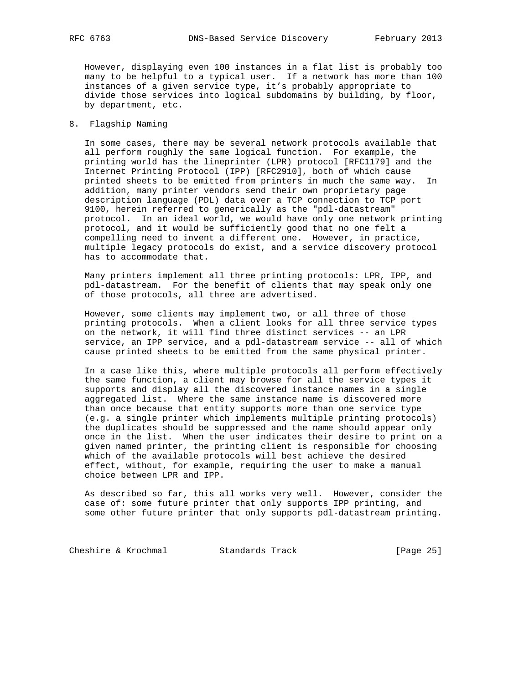However, displaying even 100 instances in a flat list is probably too many to be helpful to a typical user. If a network has more than 100 instances of a given service type, it's probably appropriate to divide those services into logical subdomains by building, by floor, by department, etc.

### 8. Flagship Naming

 In some cases, there may be several network protocols available that all perform roughly the same logical function. For example, the printing world has the lineprinter (LPR) protocol [RFC1179] and the Internet Printing Protocol (IPP) [RFC2910], both of which cause printed sheets to be emitted from printers in much the same way. In addition, many printer vendors send their own proprietary page description language (PDL) data over a TCP connection to TCP port 9100, herein referred to generically as the "pdl-datastream" protocol. In an ideal world, we would have only one network printing protocol, and it would be sufficiently good that no one felt a compelling need to invent a different one. However, in practice, multiple legacy protocols do exist, and a service discovery protocol has to accommodate that.

 Many printers implement all three printing protocols: LPR, IPP, and pdl-datastream. For the benefit of clients that may speak only one of those protocols, all three are advertised.

 However, some clients may implement two, or all three of those printing protocols. When a client looks for all three service types on the network, it will find three distinct services -- an LPR service, an IPP service, and a pdl-datastream service -- all of which cause printed sheets to be emitted from the same physical printer.

 In a case like this, where multiple protocols all perform effectively the same function, a client may browse for all the service types it supports and display all the discovered instance names in a single aggregated list. Where the same instance name is discovered more than once because that entity supports more than one service type (e.g. a single printer which implements multiple printing protocols) the duplicates should be suppressed and the name should appear only once in the list. When the user indicates their desire to print on a given named printer, the printing client is responsible for choosing which of the available protocols will best achieve the desired effect, without, for example, requiring the user to make a manual choice between LPR and IPP.

 As described so far, this all works very well. However, consider the case of: some future printer that only supports IPP printing, and some other future printer that only supports pdl-datastream printing.

Cheshire & Krochmal Standards Track [Page 25]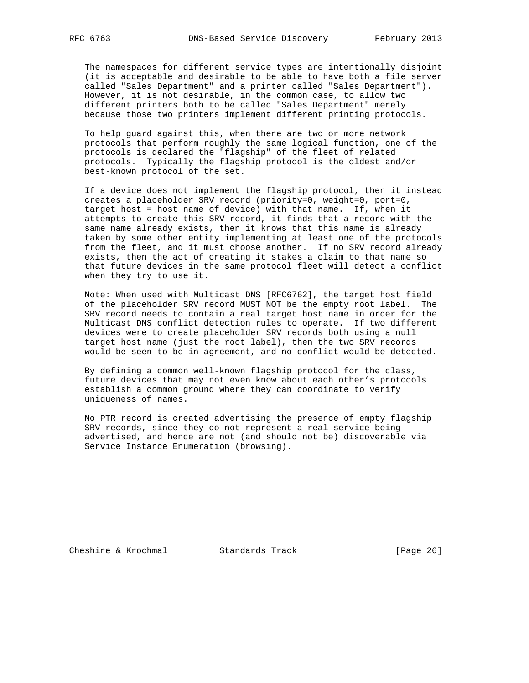The namespaces for different service types are intentionally disjoint (it is acceptable and desirable to be able to have both a file server called "Sales Department" and a printer called "Sales Department"). However, it is not desirable, in the common case, to allow two different printers both to be called "Sales Department" merely because those two printers implement different printing protocols.

 To help guard against this, when there are two or more network protocols that perform roughly the same logical function, one of the protocols is declared the "flagship" of the fleet of related protocols. Typically the flagship protocol is the oldest and/or best-known protocol of the set.

 If a device does not implement the flagship protocol, then it instead creates a placeholder SRV record (priority=0, weight=0, port=0, target host = host name of device) with that name. If, when it attempts to create this SRV record, it finds that a record with the same name already exists, then it knows that this name is already taken by some other entity implementing at least one of the protocols from the fleet, and it must choose another. If no SRV record already exists, then the act of creating it stakes a claim to that name so that future devices in the same protocol fleet will detect a conflict when they try to use it.

 Note: When used with Multicast DNS [RFC6762], the target host field of the placeholder SRV record MUST NOT be the empty root label. The SRV record needs to contain a real target host name in order for the Multicast DNS conflict detection rules to operate. If two different devices were to create placeholder SRV records both using a null target host name (just the root label), then the two SRV records would be seen to be in agreement, and no conflict would be detected.

 By defining a common well-known flagship protocol for the class, future devices that may not even know about each other's protocols establish a common ground where they can coordinate to verify uniqueness of names.

 No PTR record is created advertising the presence of empty flagship SRV records, since they do not represent a real service being advertised, and hence are not (and should not be) discoverable via Service Instance Enumeration (browsing).

Cheshire & Krochmal Standards Track [Page 26]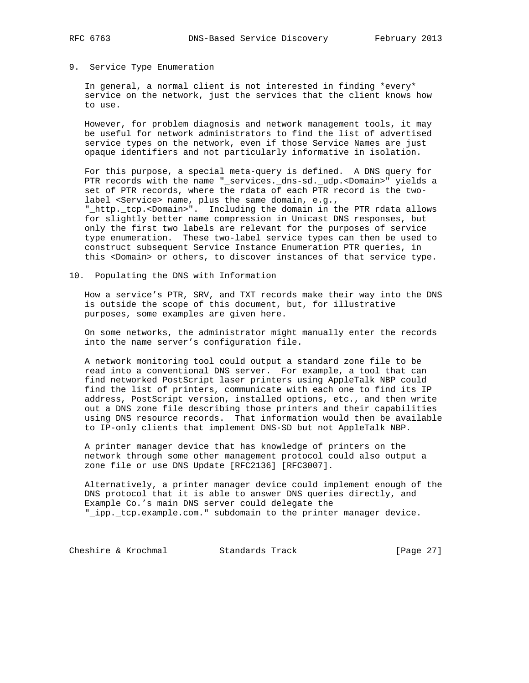#### 9. Service Type Enumeration

 In general, a normal client is not interested in finding \*every\* service on the network, just the services that the client knows how to use.

 However, for problem diagnosis and network management tools, it may be useful for network administrators to find the list of advertised service types on the network, even if those Service Names are just opaque identifiers and not particularly informative in isolation.

 For this purpose, a special meta-query is defined. A DNS query for PTR records with the name "\_services.\_dns-sd.\_udp.<Domain>" yields a set of PTR records, where the rdata of each PTR record is the two label <Service> name, plus the same domain, e.g., "\_http.\_tcp.<Domain>". Including the domain in the PTR rdata allows for slightly better name compression in Unicast DNS responses, but only the first two labels are relevant for the purposes of service type enumeration. These two-label service types can then be used to construct subsequent Service Instance Enumeration PTR queries, in this <Domain> or others, to discover instances of that service type.

10. Populating the DNS with Information

 How a service's PTR, SRV, and TXT records make their way into the DNS is outside the scope of this document, but, for illustrative purposes, some examples are given here.

 On some networks, the administrator might manually enter the records into the name server's configuration file.

 A network monitoring tool could output a standard zone file to be read into a conventional DNS server. For example, a tool that can find networked PostScript laser printers using AppleTalk NBP could find the list of printers, communicate with each one to find its IP address, PostScript version, installed options, etc., and then write out a DNS zone file describing those printers and their capabilities using DNS resource records. That information would then be available to IP-only clients that implement DNS-SD but not AppleTalk NBP.

 A printer manager device that has knowledge of printers on the network through some other management protocol could also output a zone file or use DNS Update [RFC2136] [RFC3007].

 Alternatively, a printer manager device could implement enough of the DNS protocol that it is able to answer DNS queries directly, and Example Co.'s main DNS server could delegate the "\_ipp.\_tcp.example.com." subdomain to the printer manager device.

Cheshire & Krochmal Standards Track [Page 27]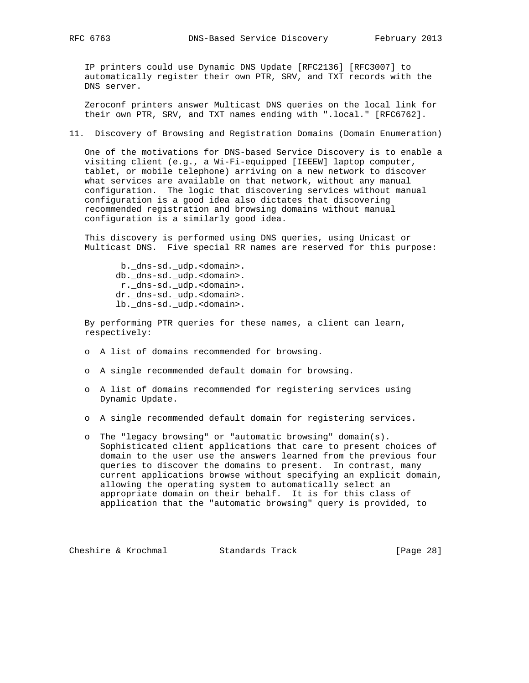IP printers could use Dynamic DNS Update [RFC2136] [RFC3007] to automatically register their own PTR, SRV, and TXT records with the DNS server.

 Zeroconf printers answer Multicast DNS queries on the local link for their own PTR, SRV, and TXT names ending with ".local." [RFC6762].

11. Discovery of Browsing and Registration Domains (Domain Enumeration)

 One of the motivations for DNS-based Service Discovery is to enable a visiting client (e.g., a Wi-Fi-equipped [IEEEW] laptop computer, tablet, or mobile telephone) arriving on a new network to discover what services are available on that network, without any manual configuration. The logic that discovering services without manual configuration is a good idea also dictates that discovering recommended registration and browsing domains without manual configuration is a similarly good idea.

 This discovery is performed using DNS queries, using Unicast or Multicast DNS. Five special RR names are reserved for this purpose:

 b.\_dns-sd.\_udp.<domain>. db.\_dns-sd.\_udp.<domain>. r.\_dns-sd.\_udp.<domain>. dr.\_dns-sd.\_udp.<domain>. lb.\_dns-sd.\_udp.<domain>.

 By performing PTR queries for these names, a client can learn, respectively:

- o A list of domains recommended for browsing.
- o A single recommended default domain for browsing.
- o A list of domains recommended for registering services using Dynamic Update.
- o A single recommended default domain for registering services.
- o The "legacy browsing" or "automatic browsing" domain(s). Sophisticated client applications that care to present choices of domain to the user use the answers learned from the previous four queries to discover the domains to present. In contrast, many current applications browse without specifying an explicit domain, allowing the operating system to automatically select an appropriate domain on their behalf. It is for this class of application that the "automatic browsing" query is provided, to

Cheshire & Krochmal Standards Track [Page 28]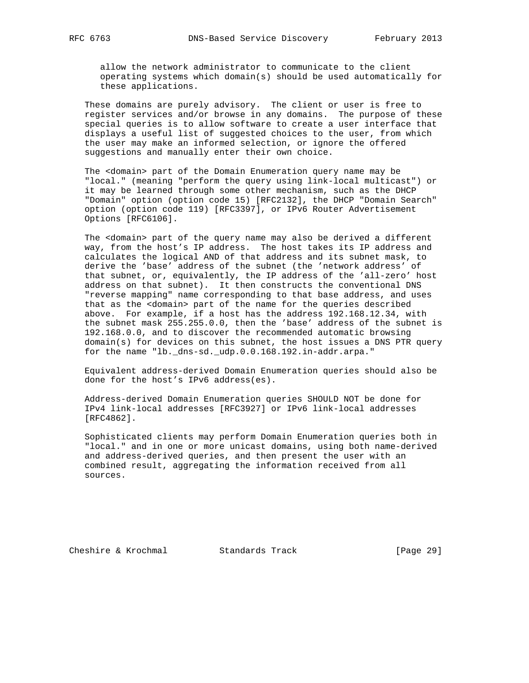allow the network administrator to communicate to the client operating systems which domain(s) should be used automatically for these applications.

 These domains are purely advisory. The client or user is free to register services and/or browse in any domains. The purpose of these special queries is to allow software to create a user interface that displays a useful list of suggested choices to the user, from which the user may make an informed selection, or ignore the offered suggestions and manually enter their own choice.

 The <domain> part of the Domain Enumeration query name may be "local." (meaning "perform the query using link-local multicast") or it may be learned through some other mechanism, such as the DHCP "Domain" option (option code 15) [RFC2132], the DHCP "Domain Search" option (option code 119) [RFC3397], or IPv6 Router Advertisement Options [RFC6106].

 The <domain> part of the query name may also be derived a different way, from the host's IP address. The host takes its IP address and calculates the logical AND of that address and its subnet mask, to derive the 'base' address of the subnet (the 'network address' of that subnet, or, equivalently, the IP address of the 'all-zero' host address on that subnet). It then constructs the conventional DNS "reverse mapping" name corresponding to that base address, and uses that as the <domain> part of the name for the queries described above. For example, if a host has the address 192.168.12.34, with the subnet mask 255.255.0.0, then the 'base' address of the subnet is 192.168.0.0, and to discover the recommended automatic browsing domain(s) for devices on this subnet, the host issues a DNS PTR query for the name "lb. dns-sd. udp.0.0.168.192.in-addr.arpa."

 Equivalent address-derived Domain Enumeration queries should also be done for the host's IPv6 address(es).

 Address-derived Domain Enumeration queries SHOULD NOT be done for IPv4 link-local addresses [RFC3927] or IPv6 link-local addresses [RFC4862].

 Sophisticated clients may perform Domain Enumeration queries both in "local." and in one or more unicast domains, using both name-derived and address-derived queries, and then present the user with an combined result, aggregating the information received from all sources.

Cheshire & Krochmal Standards Track [Page 29]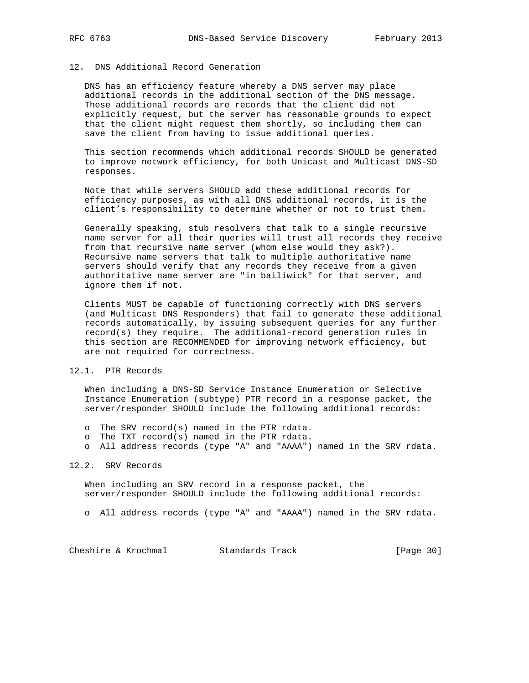## 12. DNS Additional Record Generation

 DNS has an efficiency feature whereby a DNS server may place additional records in the additional section of the DNS message. These additional records are records that the client did not explicitly request, but the server has reasonable grounds to expect that the client might request them shortly, so including them can save the client from having to issue additional queries.

 This section recommends which additional records SHOULD be generated to improve network efficiency, for both Unicast and Multicast DNS-SD responses.

 Note that while servers SHOULD add these additional records for efficiency purposes, as with all DNS additional records, it is the client's responsibility to determine whether or not to trust them.

 Generally speaking, stub resolvers that talk to a single recursive name server for all their queries will trust all records they receive from that recursive name server (whom else would they ask?). Recursive name servers that talk to multiple authoritative name servers should verify that any records they receive from a given authoritative name server are "in bailiwick" for that server, and ignore them if not.

 Clients MUST be capable of functioning correctly with DNS servers (and Multicast DNS Responders) that fail to generate these additional records automatically, by issuing subsequent queries for any further record(s) they require. The additional-record generation rules in this section are RECOMMENDED for improving network efficiency, but are not required for correctness.

## 12.1. PTR Records

 When including a DNS-SD Service Instance Enumeration or Selective Instance Enumeration (subtype) PTR record in a response packet, the server/responder SHOULD include the following additional records:

- o The SRV record(s) named in the PTR rdata.
- o The TXT record(s) named in the PTR rdata.
- o All address records (type "A" and "AAAA") named in the SRV rdata.

#### 12.2. SRV Records

 When including an SRV record in a response packet, the server/responder SHOULD include the following additional records:

o All address records (type "A" and "AAAA") named in the SRV rdata.

Cheshire & Krochmal Standards Track [Page 30]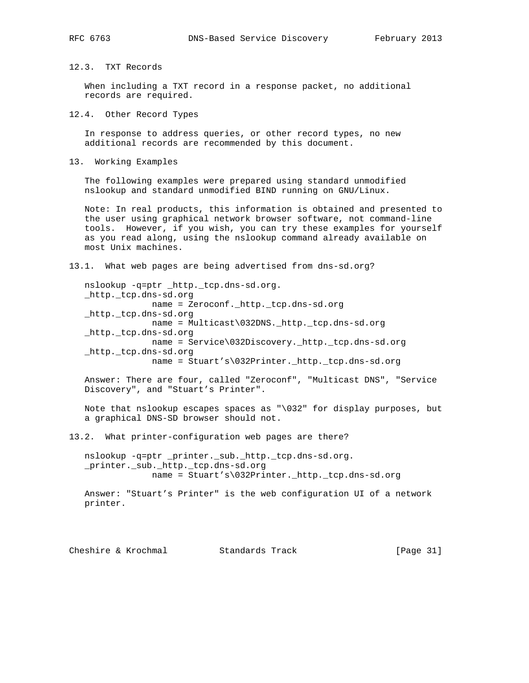## 12.3. TXT Records

 When including a TXT record in a response packet, no additional records are required.

12.4. Other Record Types

 In response to address queries, or other record types, no new additional records are recommended by this document.

13. Working Examples

 The following examples were prepared using standard unmodified nslookup and standard unmodified BIND running on GNU/Linux.

 Note: In real products, this information is obtained and presented to the user using graphical network browser software, not command-line tools. However, if you wish, you can try these examples for yourself as you read along, using the nslookup command already available on most Unix machines.

13.1. What web pages are being advertised from dns-sd.org?

 nslookup -q=ptr \_http.\_tcp.dns-sd.org. \_http.\_tcp.dns-sd.org name = Zeroconf.\_http.\_tcp.dns-sd.org \_http.\_tcp.dns-sd.org name = Multicast\032DNS.\_http.\_tcp.dns-sd.org \_http.\_tcp.dns-sd.org name = Service\032Discovery.\_http.\_tcp.dns-sd.org \_http.\_tcp.dns-sd.org name = Stuart's\032Printer.\_http.\_tcp.dns-sd.org

 Answer: There are four, called "Zeroconf", "Multicast DNS", "Service Discovery", and "Stuart's Printer".

 Note that nslookup escapes spaces as "\032" for display purposes, but a graphical DNS-SD browser should not.

13.2. What printer-configuration web pages are there?

 nslookup -q=ptr \_printer.\_sub.\_http.\_tcp.dns-sd.org. \_printer.\_sub.\_http.\_tcp.dns-sd.org name = Stuart's\032Printer.\_http.\_tcp.dns-sd.org

 Answer: "Stuart's Printer" is the web configuration UI of a network printer.

Cheshire & Krochmal Standards Track [Page 31]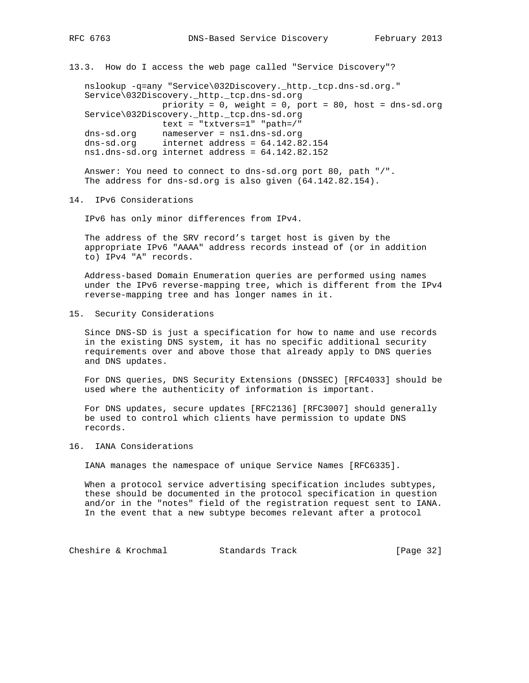13.3. How do I access the web page called "Service Discovery"?

 nslookup -q=any "Service\032Discovery.\_http.\_tcp.dns-sd.org." Service\032Discovery.\_http.\_tcp.dns-sd.org priority =  $0$ , weight =  $0$ , port =  $80$ , host = dns-sd.org Service\032Discovery.\_http.\_tcp.dns-sd.org text = "txtvers=1" "path=/" dns-sd.org nameserver = ns1.dns-sd.org dns-sd.org internet address = 64.142.82.154 ns1.dns-sd.org internet address = 64.142.82.152

 Answer: You need to connect to dns-sd.org port 80, path "/". The address for dns-sd.org is also given (64.142.82.154).

14. IPv6 Considerations

IPv6 has only minor differences from IPv4.

 The address of the SRV record's target host is given by the appropriate IPv6 "AAAA" address records instead of (or in addition to) IPv4 "A" records.

 Address-based Domain Enumeration queries are performed using names under the IPv6 reverse-mapping tree, which is different from the IPv4 reverse-mapping tree and has longer names in it.

15. Security Considerations

 Since DNS-SD is just a specification for how to name and use records in the existing DNS system, it has no specific additional security requirements over and above those that already apply to DNS queries and DNS updates.

 For DNS queries, DNS Security Extensions (DNSSEC) [RFC4033] should be used where the authenticity of information is important.

 For DNS updates, secure updates [RFC2136] [RFC3007] should generally be used to control which clients have permission to update DNS records.

16. IANA Considerations

IANA manages the namespace of unique Service Names [RFC6335].

 When a protocol service advertising specification includes subtypes, these should be documented in the protocol specification in question and/or in the "notes" field of the registration request sent to IANA. In the event that a new subtype becomes relevant after a protocol

Cheshire & Krochmal Standards Track [Page 32]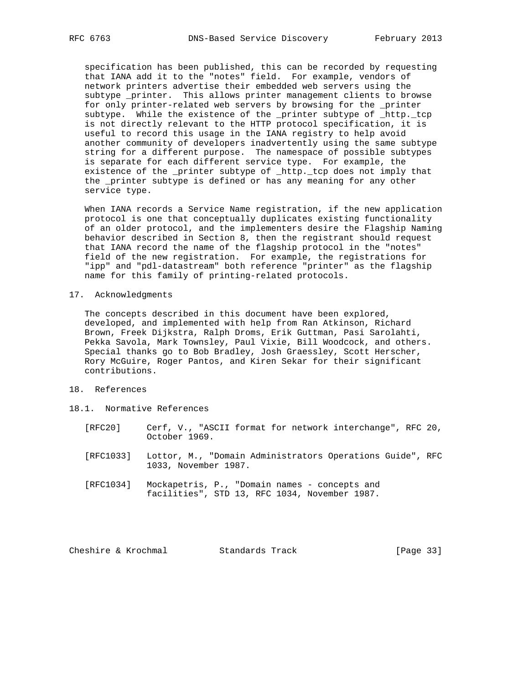specification has been published, this can be recorded by requesting that IANA add it to the "notes" field. For example, vendors of network printers advertise their embedded web servers using the subtype \_printer. This allows printer management clients to browse for only printer-related web servers by browsing for the \_printer subtype. While the existence of the \_printer subtype of \_http.\_tcp is not directly relevant to the HTTP protocol specification, it is useful to record this usage in the IANA registry to help avoid another community of developers inadvertently using the same subtype string for a different purpose. The namespace of possible subtypes is separate for each different service type. For example, the existence of the \_printer subtype of \_http.\_tcp does not imply that the \_printer subtype is defined or has any meaning for any other service type.

 When IANA records a Service Name registration, if the new application protocol is one that conceptually duplicates existing functionality of an older protocol, and the implementers desire the Flagship Naming behavior described in Section 8, then the registrant should request that IANA record the name of the flagship protocol in the "notes" field of the new registration. For example, the registrations for "ipp" and "pdl-datastream" both reference "printer" as the flagship name for this family of printing-related protocols.

17. Acknowledgments

 The concepts described in this document have been explored, developed, and implemented with help from Ran Atkinson, Richard Brown, Freek Dijkstra, Ralph Droms, Erik Guttman, Pasi Sarolahti, Pekka Savola, Mark Townsley, Paul Vixie, Bill Woodcock, and others. Special thanks go to Bob Bradley, Josh Graessley, Scott Herscher, Rory McGuire, Roger Pantos, and Kiren Sekar for their significant contributions.

- 18. References
- 18.1. Normative References
	- [RFC20] Cerf, V., "ASCII format for network interchange", RFC 20, October 1969.
	- [RFC1033] Lottor, M., "Domain Administrators Operations Guide", RFC 1033, November 1987.
	- [RFC1034] Mockapetris, P., "Domain names concepts and facilities", STD 13, RFC 1034, November 1987.

Cheshire & Krochmal Standards Track [Page 33]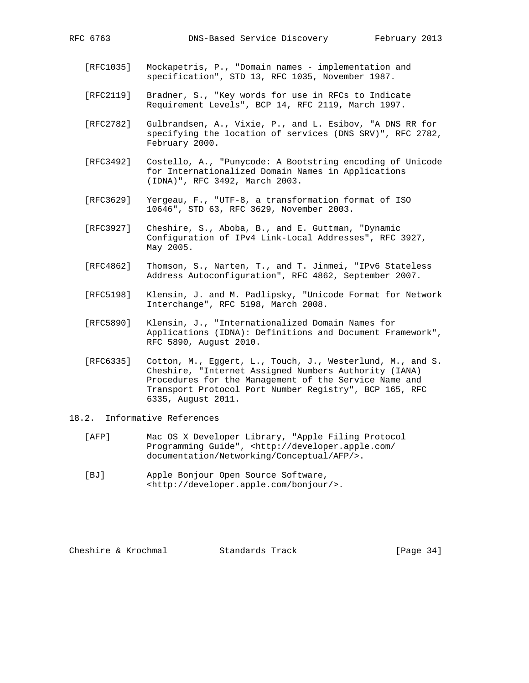- [RFC1035] Mockapetris, P., "Domain names implementation and specification", STD 13, RFC 1035, November 1987.
- [RFC2119] Bradner, S., "Key words for use in RFCs to Indicate Requirement Levels", BCP 14, RFC 2119, March 1997.
- [RFC2782] Gulbrandsen, A., Vixie, P., and L. Esibov, "A DNS RR for specifying the location of services (DNS SRV)", RFC 2782, February 2000.
- [RFC3492] Costello, A., "Punycode: A Bootstring encoding of Unicode for Internationalized Domain Names in Applications (IDNA)", RFC 3492, March 2003.
- [RFC3629] Yergeau, F., "UTF-8, a transformation format of ISO 10646", STD 63, RFC 3629, November 2003.
- [RFC3927] Cheshire, S., Aboba, B., and E. Guttman, "Dynamic Configuration of IPv4 Link-Local Addresses", RFC 3927, May 2005.
- [RFC4862] Thomson, S., Narten, T., and T. Jinmei, "IPv6 Stateless Address Autoconfiguration", RFC 4862, September 2007.
- [RFC5198] Klensin, J. and M. Padlipsky, "Unicode Format for Network Interchange", RFC 5198, March 2008.
- [RFC5890] Klensin, J., "Internationalized Domain Names for Applications (IDNA): Definitions and Document Framework", RFC 5890, August 2010.
- [RFC6335] Cotton, M., Eggert, L., Touch, J., Westerlund, M., and S. Cheshire, "Internet Assigned Numbers Authority (IANA) Procedures for the Management of the Service Name and Transport Protocol Port Number Registry", BCP 165, RFC 6335, August 2011.
- 18.2. Informative References
	- [AFP] Mac OS X Developer Library, "Apple Filing Protocol Programming Guide", <http://developer.apple.com/ documentation/Networking/Conceptual/AFP/>.
	- [BJ] Apple Bonjour Open Source Software, <http://developer.apple.com/bonjour/>.

Cheshire & Krochmal Standards Track [Page 34]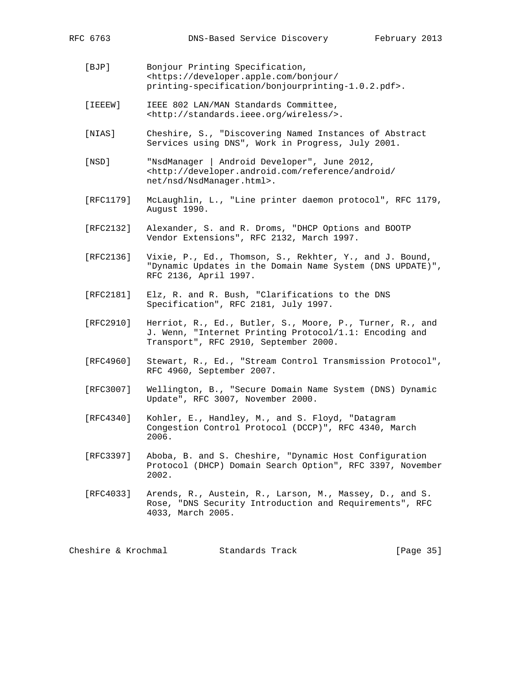- [BJP] Bonjour Printing Specification, <https://developer.apple.com/bonjour/ printing-specification/bonjourprinting-1.0.2.pdf>.
- [IEEEW] IEEE 802 LAN/MAN Standards Committee, <http://standards.ieee.org/wireless/>.
- [NIAS] Cheshire, S., "Discovering Named Instances of Abstract Services using DNS", Work in Progress, July 2001.
- [NSD] "NsdManager | Android Developer", June 2012, <http://developer.android.com/reference/android/ net/nsd/NsdManager.html>.
- [RFC1179] McLaughlin, L., "Line printer daemon protocol", RFC 1179, August 1990.
- [RFC2132] Alexander, S. and R. Droms, "DHCP Options and BOOTP Vendor Extensions", RFC 2132, March 1997.
- [RFC2136] Vixie, P., Ed., Thomson, S., Rekhter, Y., and J. Bound, "Dynamic Updates in the Domain Name System (DNS UPDATE)", RFC 2136, April 1997.
- [RFC2181] Elz, R. and R. Bush, "Clarifications to the DNS Specification", RFC 2181, July 1997.
- [RFC2910] Herriot, R., Ed., Butler, S., Moore, P., Turner, R., and J. Wenn, "Internet Printing Protocol/1.1: Encoding and Transport", RFC 2910, September 2000.
- [RFC4960] Stewart, R., Ed., "Stream Control Transmission Protocol", RFC 4960, September 2007.
- [RFC3007] Wellington, B., "Secure Domain Name System (DNS) Dynamic Update", RFC 3007, November 2000.
- [RFC4340] Kohler, E., Handley, M., and S. Floyd, "Datagram Congestion Control Protocol (DCCP)", RFC 4340, March 2006.
- [RFC3397] Aboba, B. and S. Cheshire, "Dynamic Host Configuration Protocol (DHCP) Domain Search Option", RFC 3397, November 2002.
- [RFC4033] Arends, R., Austein, R., Larson, M., Massey, D., and S. Rose, "DNS Security Introduction and Requirements", RFC 4033, March 2005.

Cheshire & Krochmal Standards Track [Page 35]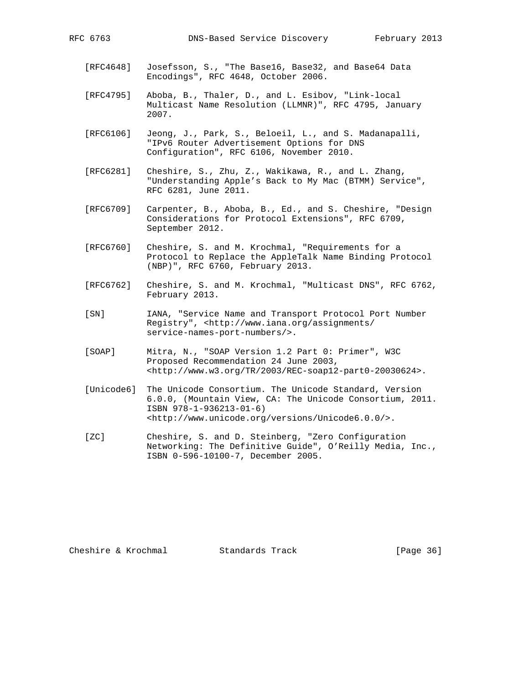- [RFC4648] Josefsson, S., "The Base16, Base32, and Base64 Data Encodings", RFC 4648, October 2006.
- [RFC4795] Aboba, B., Thaler, D., and L. Esibov, "Link-local Multicast Name Resolution (LLMNR)", RFC 4795, January 2007.
- [RFC6106] Jeong, J., Park, S., Beloeil, L., and S. Madanapalli, "IPv6 Router Advertisement Options for DNS Configuration", RFC 6106, November 2010.
- [RFC6281] Cheshire, S., Zhu, Z., Wakikawa, R., and L. Zhang, "Understanding Apple's Back to My Mac (BTMM) Service", RFC 6281, June 2011.
- [RFC6709] Carpenter, B., Aboba, B., Ed., and S. Cheshire, "Design Considerations for Protocol Extensions", RFC 6709, September 2012.
- [RFC6760] Cheshire, S. and M. Krochmal, "Requirements for a Protocol to Replace the AppleTalk Name Binding Protocol (NBP)", RFC 6760, February 2013.
- [RFC6762] Cheshire, S. and M. Krochmal, "Multicast DNS", RFC 6762, February 2013.
- [SN] IANA, "Service Name and Transport Protocol Port Number Registry", <http://www.iana.org/assignments/ service-names-port-numbers/>.
- [SOAP] Mitra, N., "SOAP Version 1.2 Part 0: Primer", W3C Proposed Recommendation 24 June 2003, <http://www.w3.org/TR/2003/REC-soap12-part0-20030624>.
- [Unicode6] The Unicode Consortium. The Unicode Standard, Version 6.0.0, (Mountain View, CA: The Unicode Consortium, 2011. ISBN 978-1-936213-01-6) <http://www.unicode.org/versions/Unicode6.0.0/>.
- [ZC] Cheshire, S. and D. Steinberg, "Zero Configuration Networking: The Definitive Guide", O'Reilly Media, Inc., ISBN 0-596-10100-7, December 2005.

Cheshire & Krochmal Standards Track [Page 36]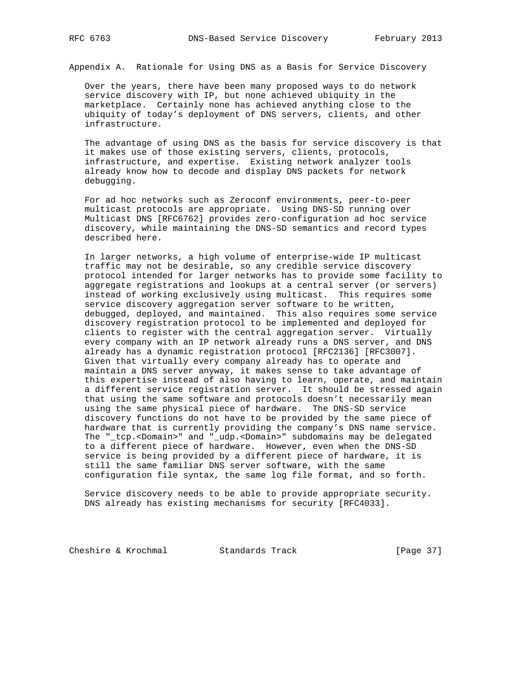Appendix A. Rationale for Using DNS as a Basis for Service Discovery

 Over the years, there have been many proposed ways to do network service discovery with IP, but none achieved ubiquity in the marketplace. Certainly none has achieved anything close to the ubiquity of today's deployment of DNS servers, clients, and other infrastructure.

 The advantage of using DNS as the basis for service discovery is that it makes use of those existing servers, clients, protocols, infrastructure, and expertise. Existing network analyzer tools already know how to decode and display DNS packets for network debugging.

 For ad hoc networks such as Zeroconf environments, peer-to-peer multicast protocols are appropriate. Using DNS-SD running over Multicast DNS [RFC6762] provides zero-configuration ad hoc service discovery, while maintaining the DNS-SD semantics and record types described here.

 In larger networks, a high volume of enterprise-wide IP multicast traffic may not be desirable, so any credible service discovery protocol intended for larger networks has to provide some facility to aggregate registrations and lookups at a central server (or servers) instead of working exclusively using multicast. This requires some service discovery aggregation server software to be written, debugged, deployed, and maintained. This also requires some service discovery registration protocol to be implemented and deployed for clients to register with the central aggregation server. Virtually every company with an IP network already runs a DNS server, and DNS already has a dynamic registration protocol [RFC2136] [RFC3007]. Given that virtually every company already has to operate and maintain a DNS server anyway, it makes sense to take advantage of this expertise instead of also having to learn, operate, and maintain a different service registration server. It should be stressed again that using the same software and protocols doesn't necessarily mean using the same physical piece of hardware. The DNS-SD service discovery functions do not have to be provided by the same piece of hardware that is currently providing the company's DNS name service. The "\_tcp.<Domain>" and "\_udp.<Domain>" subdomains may be delegated to a different piece of hardware. However, even when the DNS-SD service is being provided by a different piece of hardware, it is still the same familiar DNS server software, with the same configuration file syntax, the same log file format, and so forth.

 Service discovery needs to be able to provide appropriate security. DNS already has existing mechanisms for security [RFC4033].

Cheshire & Krochmal Standards Track [Page 37]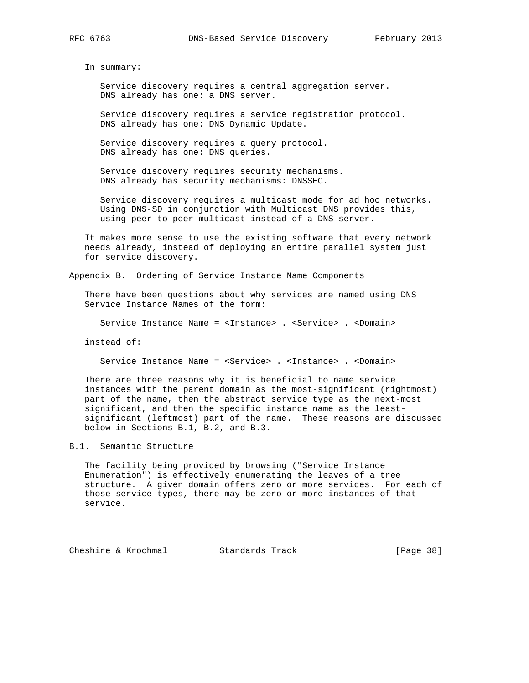In summary:

 Service discovery requires a central aggregation server. DNS already has one: a DNS server.

 Service discovery requires a service registration protocol. DNS already has one: DNS Dynamic Update.

 Service discovery requires a query protocol. DNS already has one: DNS queries.

 Service discovery requires security mechanisms. DNS already has security mechanisms: DNSSEC.

 Service discovery requires a multicast mode for ad hoc networks. Using DNS-SD in conjunction with Multicast DNS provides this, using peer-to-peer multicast instead of a DNS server.

 It makes more sense to use the existing software that every network needs already, instead of deploying an entire parallel system just for service discovery.

Appendix B. Ordering of Service Instance Name Components

 There have been questions about why services are named using DNS Service Instance Names of the form:

Service Instance Name = <Instance> . <Service> . <Domain>

instead of:

Service Instance Name = <Service> . <Instance> . <Domain>

 There are three reasons why it is beneficial to name service instances with the parent domain as the most-significant (rightmost) part of the name, then the abstract service type as the next-most significant, and then the specific instance name as the least significant (leftmost) part of the name. These reasons are discussed below in Sections B.1, B.2, and B.3.

B.1. Semantic Structure

 The facility being provided by browsing ("Service Instance Enumeration") is effectively enumerating the leaves of a tree structure. A given domain offers zero or more services. For each of those service types, there may be zero or more instances of that service.

Cheshire & Krochmal Standards Track [Page 38]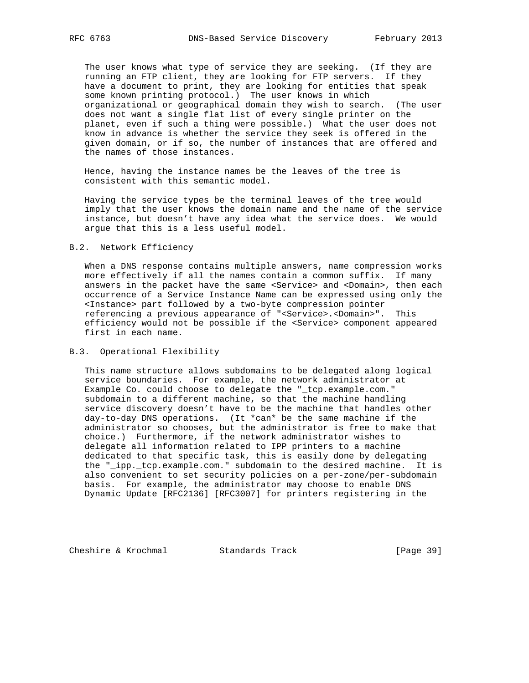The user knows what type of service they are seeking. (If they are running an FTP client, they are looking for FTP servers. If they have a document to print, they are looking for entities that speak some known printing protocol.) The user knows in which organizational or geographical domain they wish to search. (The user does not want a single flat list of every single printer on the planet, even if such a thing were possible.) What the user does not know in advance is whether the service they seek is offered in the given domain, or if so, the number of instances that are offered and the names of those instances.

 Hence, having the instance names be the leaves of the tree is consistent with this semantic model.

 Having the service types be the terminal leaves of the tree would imply that the user knows the domain name and the name of the service instance, but doesn't have any idea what the service does. We would argue that this is a less useful model.

### B.2. Network Efficiency

 When a DNS response contains multiple answers, name compression works more effectively if all the names contain a common suffix. If many answers in the packet have the same <Service> and <Domain>, then each occurrence of a Service Instance Name can be expressed using only the <Instance> part followed by a two-byte compression pointer referencing a previous appearance of "<Service>.<Domain>". This efficiency would not be possible if the <Service> component appeared first in each name.

### B.3. Operational Flexibility

 This name structure allows subdomains to be delegated along logical service boundaries. For example, the network administrator at Example Co. could choose to delegate the "\_tcp.example.com." subdomain to a different machine, so that the machine handling service discovery doesn't have to be the machine that handles other day-to-day DNS operations. (It \*can\* be the same machine if the administrator so chooses, but the administrator is free to make that choice.) Furthermore, if the network administrator wishes to delegate all information related to IPP printers to a machine dedicated to that specific task, this is easily done by delegating the "\_ipp.\_tcp.example.com." subdomain to the desired machine. It is also convenient to set security policies on a per-zone/per-subdomain basis. For example, the administrator may choose to enable DNS Dynamic Update [RFC2136] [RFC3007] for printers registering in the

Cheshire & Krochmal Standards Track [Page 39]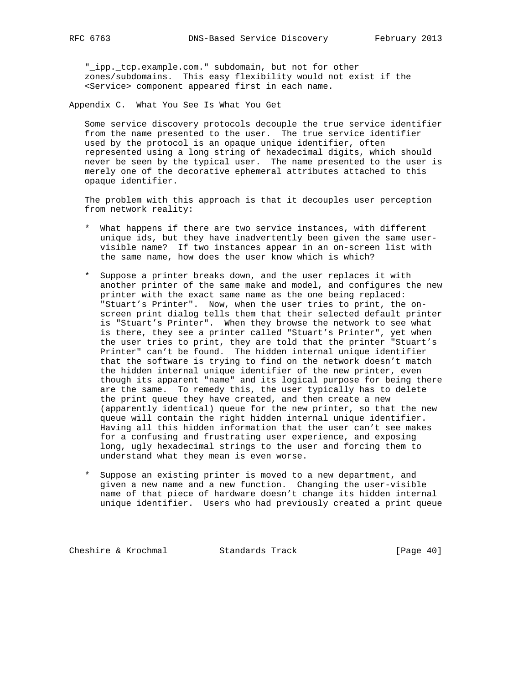"\_ipp.\_tcp.example.com." subdomain, but not for other zones/subdomains. This easy flexibility would not exist if the <Service> component appeared first in each name.

Appendix C. What You See Is What You Get

 Some service discovery protocols decouple the true service identifier from the name presented to the user. The true service identifier used by the protocol is an opaque unique identifier, often represented using a long string of hexadecimal digits, which should never be seen by the typical user. The name presented to the user is merely one of the decorative ephemeral attributes attached to this opaque identifier.

 The problem with this approach is that it decouples user perception from network reality:

- \* What happens if there are two service instances, with different unique ids, but they have inadvertently been given the same user visible name? If two instances appear in an on-screen list with the same name, how does the user know which is which?
- \* Suppose a printer breaks down, and the user replaces it with another printer of the same make and model, and configures the new printer with the exact same name as the one being replaced: "Stuart's Printer". Now, when the user tries to print, the on screen print dialog tells them that their selected default printer is "Stuart's Printer". When they browse the network to see what is there, they see a printer called "Stuart's Printer", yet when the user tries to print, they are told that the printer "Stuart's Printer" can't be found. The hidden internal unique identifier that the software is trying to find on the network doesn't match the hidden internal unique identifier of the new printer, even though its apparent "name" and its logical purpose for being there are the same. To remedy this, the user typically has to delete the print queue they have created, and then create a new (apparently identical) queue for the new printer, so that the new queue will contain the right hidden internal unique identifier. Having all this hidden information that the user can't see makes for a confusing and frustrating user experience, and exposing long, ugly hexadecimal strings to the user and forcing them to understand what they mean is even worse.
- \* Suppose an existing printer is moved to a new department, and given a new name and a new function. Changing the user-visible name of that piece of hardware doesn't change its hidden internal unique identifier. Users who had previously created a print queue

Cheshire & Krochmal Standards Track [Page 40]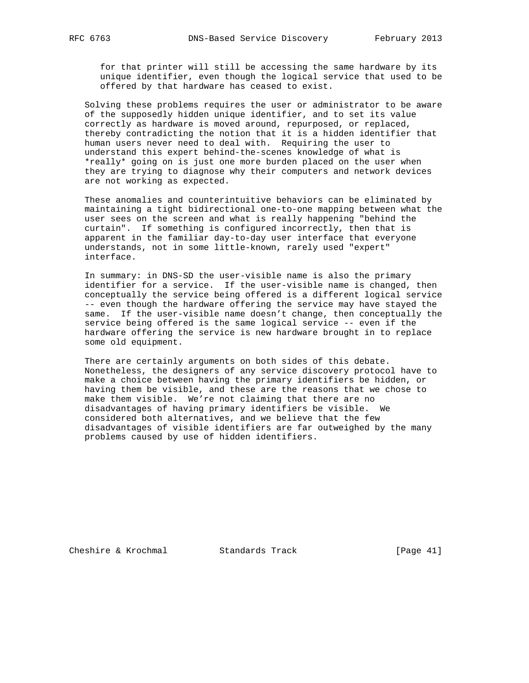for that printer will still be accessing the same hardware by its unique identifier, even though the logical service that used to be offered by that hardware has ceased to exist.

 Solving these problems requires the user or administrator to be aware of the supposedly hidden unique identifier, and to set its value correctly as hardware is moved around, repurposed, or replaced, thereby contradicting the notion that it is a hidden identifier that human users never need to deal with. Requiring the user to understand this expert behind-the-scenes knowledge of what is \*really\* going on is just one more burden placed on the user when they are trying to diagnose why their computers and network devices are not working as expected.

 These anomalies and counterintuitive behaviors can be eliminated by maintaining a tight bidirectional one-to-one mapping between what the user sees on the screen and what is really happening "behind the curtain". If something is configured incorrectly, then that is apparent in the familiar day-to-day user interface that everyone understands, not in some little-known, rarely used "expert" interface.

 In summary: in DNS-SD the user-visible name is also the primary identifier for a service. If the user-visible name is changed, then conceptually the service being offered is a different logical service -- even though the hardware offering the service may have stayed the same. If the user-visible name doesn't change, then conceptually the service being offered is the same logical service -- even if the hardware offering the service is new hardware brought in to replace some old equipment.

 There are certainly arguments on both sides of this debate. Nonetheless, the designers of any service discovery protocol have to make a choice between having the primary identifiers be hidden, or having them be visible, and these are the reasons that we chose to make them visible. We're not claiming that there are no disadvantages of having primary identifiers be visible. We considered both alternatives, and we believe that the few disadvantages of visible identifiers are far outweighed by the many problems caused by use of hidden identifiers.

Cheshire & Krochmal Standards Track [Page 41]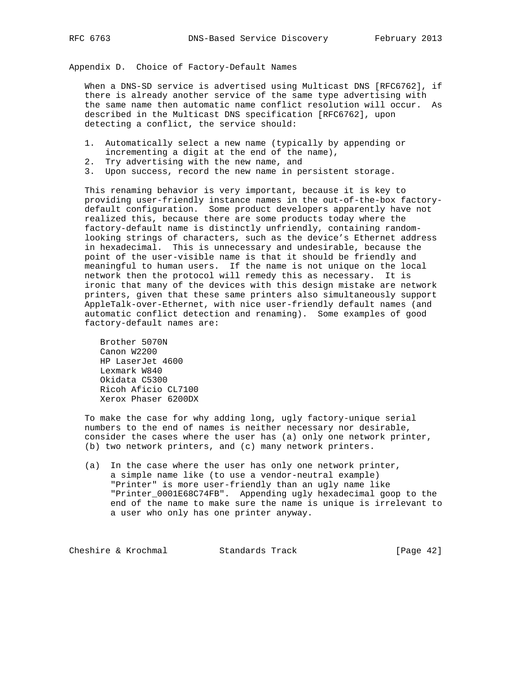Appendix D. Choice of Factory-Default Names

 When a DNS-SD service is advertised using Multicast DNS [RFC6762], if there is already another service of the same type advertising with the same name then automatic name conflict resolution will occur. As described in the Multicast DNS specification [RFC6762], upon detecting a conflict, the service should:

- 1. Automatically select a new name (typically by appending or incrementing a digit at the end of the name),
- 2. Try advertising with the new name, and
- 3. Upon success, record the new name in persistent storage.

 This renaming behavior is very important, because it is key to providing user-friendly instance names in the out-of-the-box factory default configuration. Some product developers apparently have not realized this, because there are some products today where the factory-default name is distinctly unfriendly, containing random looking strings of characters, such as the device's Ethernet address in hexadecimal. This is unnecessary and undesirable, because the point of the user-visible name is that it should be friendly and meaningful to human users. If the name is not unique on the local network then the protocol will remedy this as necessary. It is ironic that many of the devices with this design mistake are network printers, given that these same printers also simultaneously support AppleTalk-over-Ethernet, with nice user-friendly default names (and automatic conflict detection and renaming). Some examples of good factory-default names are:

 Brother 5070N Canon W2200 HP LaserJet 4600 Lexmark W840 Okidata C5300 Ricoh Aficio CL7100 Xerox Phaser 6200DX

 To make the case for why adding long, ugly factory-unique serial numbers to the end of names is neither necessary nor desirable, consider the cases where the user has (a) only one network printer, (b) two network printers, and (c) many network printers.

 (a) In the case where the user has only one network printer, a simple name like (to use a vendor-neutral example) "Printer" is more user-friendly than an ugly name like "Printer\_0001E68C74FB". Appending ugly hexadecimal goop to the end of the name to make sure the name is unique is irrelevant to a user who only has one printer anyway.

Cheshire & Krochmal Standards Track [Page 42]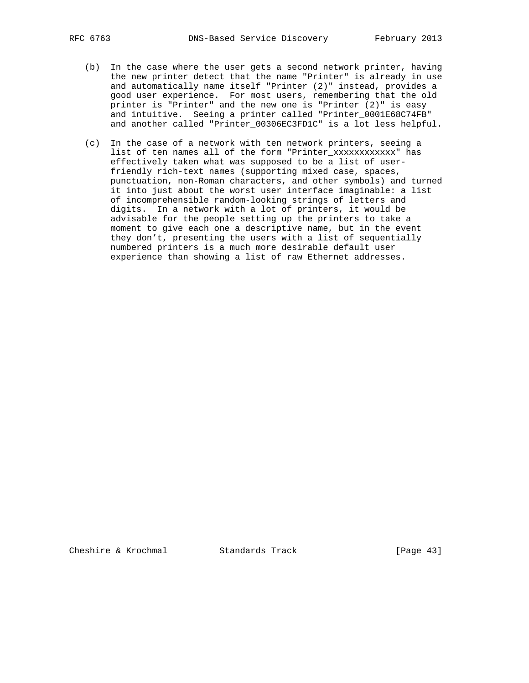- (b) In the case where the user gets a second network printer, having the new printer detect that the name "Printer" is already in use and automatically name itself "Printer (2)" instead, provides a good user experience. For most users, remembering that the old printer is "Printer" and the new one is "Printer (2)" is easy and intuitive. Seeing a printer called "Printer\_0001E68C74FB" and another called "Printer\_00306EC3FD1C" is a lot less helpful.
- (c) In the case of a network with ten network printers, seeing a list of ten names all of the form "Printer\_xxxxxxxxxxxx" has effectively taken what was supposed to be a list of user friendly rich-text names (supporting mixed case, spaces, punctuation, non-Roman characters, and other symbols) and turned it into just about the worst user interface imaginable: a list of incomprehensible random-looking strings of letters and digits. In a network with a lot of printers, it would be advisable for the people setting up the printers to take a moment to give each one a descriptive name, but in the event they don't, presenting the users with a list of sequentially numbered printers is a much more desirable default user experience than showing a list of raw Ethernet addresses.

Cheshire & Krochmal Standards Track [Page 43]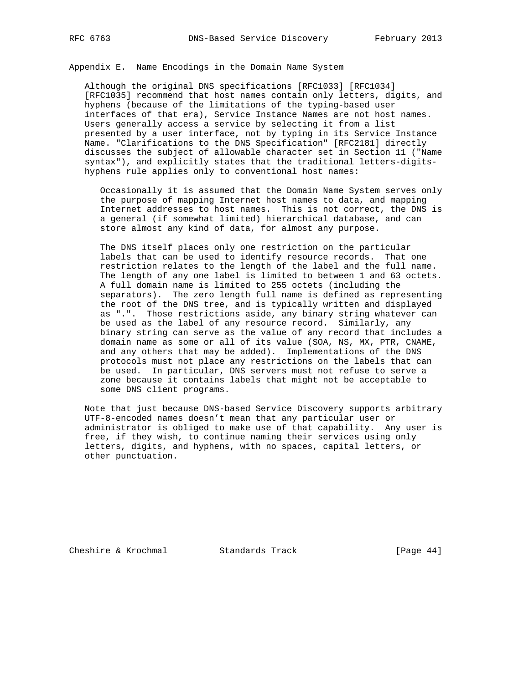Appendix E. Name Encodings in the Domain Name System

 Although the original DNS specifications [RFC1033] [RFC1034] [RFC1035] recommend that host names contain only letters, digits, and hyphens (because of the limitations of the typing-based user interfaces of that era), Service Instance Names are not host names. Users generally access a service by selecting it from a list presented by a user interface, not by typing in its Service Instance Name. "Clarifications to the DNS Specification" [RFC2181] directly discusses the subject of allowable character set in Section 11 ("Name syntax"), and explicitly states that the traditional letters-digits hyphens rule applies only to conventional host names:

 Occasionally it is assumed that the Domain Name System serves only the purpose of mapping Internet host names to data, and mapping Internet addresses to host names. This is not correct, the DNS is a general (if somewhat limited) hierarchical database, and can store almost any kind of data, for almost any purpose.

 The DNS itself places only one restriction on the particular labels that can be used to identify resource records. That one restriction relates to the length of the label and the full name. The length of any one label is limited to between 1 and 63 octets. A full domain name is limited to 255 octets (including the separators). The zero length full name is defined as representing the root of the DNS tree, and is typically written and displayed as ".". Those restrictions aside, any binary string whatever can be used as the label of any resource record. Similarly, any binary string can serve as the value of any record that includes a domain name as some or all of its value (SOA, NS, MX, PTR, CNAME, and any others that may be added). Implementations of the DNS protocols must not place any restrictions on the labels that can be used. In particular, DNS servers must not refuse to serve a zone because it contains labels that might not be acceptable to some DNS client programs.

 Note that just because DNS-based Service Discovery supports arbitrary UTF-8-encoded names doesn't mean that any particular user or administrator is obliged to make use of that capability. Any user is free, if they wish, to continue naming their services using only letters, digits, and hyphens, with no spaces, capital letters, or other punctuation.

Cheshire & Krochmal Standards Track [Page 44]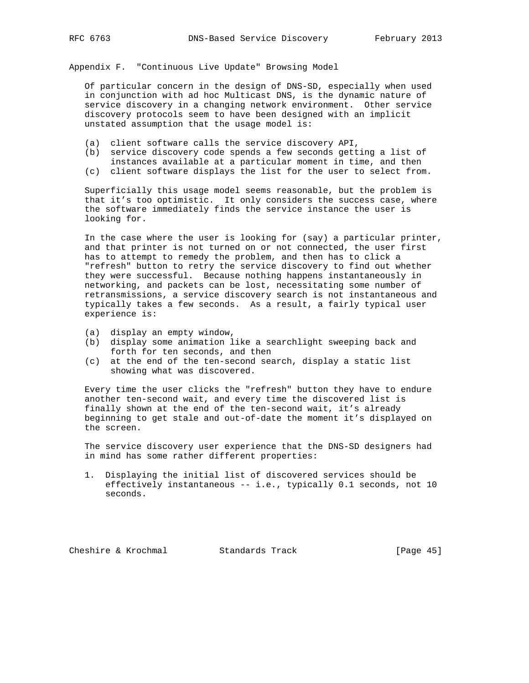Appendix F. "Continuous Live Update" Browsing Model

 Of particular concern in the design of DNS-SD, especially when used in conjunction with ad hoc Multicast DNS, is the dynamic nature of service discovery in a changing network environment. Other service discovery protocols seem to have been designed with an implicit unstated assumption that the usage model is:

- (a) client software calls the service discovery API,
- (b) service discovery code spends a few seconds getting a list of instances available at a particular moment in time, and then
- (c) client software displays the list for the user to select from.

 Superficially this usage model seems reasonable, but the problem is that it's too optimistic. It only considers the success case, where the software immediately finds the service instance the user is looking for.

 In the case where the user is looking for (say) a particular printer, and that printer is not turned on or not connected, the user first has to attempt to remedy the problem, and then has to click a "refresh" button to retry the service discovery to find out whether they were successful. Because nothing happens instantaneously in networking, and packets can be lost, necessitating some number of retransmissions, a service discovery search is not instantaneous and typically takes a few seconds. As a result, a fairly typical user experience is:

- (a) display an empty window,
- (b) display some animation like a searchlight sweeping back and forth for ten seconds, and then
- (c) at the end of the ten-second search, display a static list showing what was discovered.

 Every time the user clicks the "refresh" button they have to endure another ten-second wait, and every time the discovered list is finally shown at the end of the ten-second wait, it's already beginning to get stale and out-of-date the moment it's displayed on the screen.

 The service discovery user experience that the DNS-SD designers had in mind has some rather different properties:

 1. Displaying the initial list of discovered services should be effectively instantaneous -- i.e., typically 0.1 seconds, not 10 seconds.

Cheshire & Krochmal Standards Track [Page 45]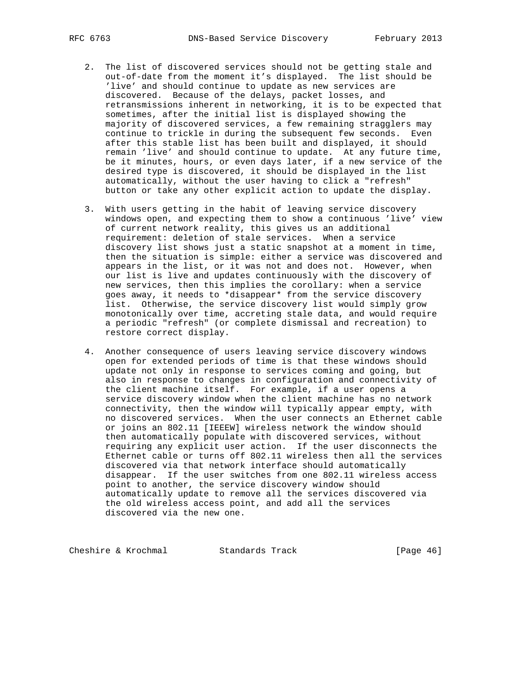- 2. The list of discovered services should not be getting stale and out-of-date from the moment it's displayed. The list should be 'live' and should continue to update as new services are discovered. Because of the delays, packet losses, and retransmissions inherent in networking, it is to be expected that sometimes, after the initial list is displayed showing the majority of discovered services, a few remaining stragglers may continue to trickle in during the subsequent few seconds. Even after this stable list has been built and displayed, it should remain 'live' and should continue to update. At any future time, be it minutes, hours, or even days later, if a new service of the desired type is discovered, it should be displayed in the list automatically, without the user having to click a "refresh" button or take any other explicit action to update the display.
- 3. With users getting in the habit of leaving service discovery windows open, and expecting them to show a continuous 'live' view of current network reality, this gives us an additional requirement: deletion of stale services. When a service discovery list shows just a static snapshot at a moment in time, then the situation is simple: either a service was discovered and appears in the list, or it was not and does not. However, when our list is live and updates continuously with the discovery of new services, then this implies the corollary: when a service goes away, it needs to \*disappear\* from the service discovery list. Otherwise, the service discovery list would simply grow monotonically over time, accreting stale data, and would require a periodic "refresh" (or complete dismissal and recreation) to restore correct display.
- 4. Another consequence of users leaving service discovery windows open for extended periods of time is that these windows should update not only in response to services coming and going, but also in response to changes in configuration and connectivity of the client machine itself. For example, if a user opens a service discovery window when the client machine has no network connectivity, then the window will typically appear empty, with no discovered services. When the user connects an Ethernet cable or joins an 802.11 [IEEEW] wireless network the window should then automatically populate with discovered services, without requiring any explicit user action. If the user disconnects the Ethernet cable or turns off 802.11 wireless then all the services discovered via that network interface should automatically disappear. If the user switches from one 802.11 wireless access point to another, the service discovery window should automatically update to remove all the services discovered via the old wireless access point, and add all the services discovered via the new one.

Cheshire & Krochmal Standards Track [Page 46]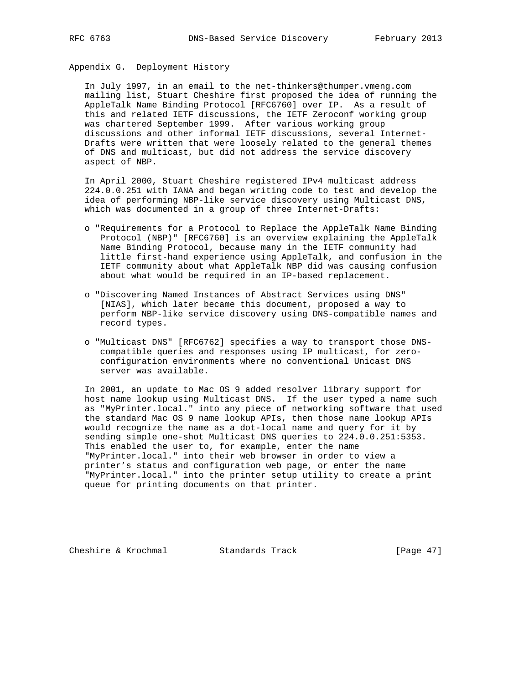Appendix G. Deployment History

 In July 1997, in an email to the net-thinkers@thumper.vmeng.com mailing list, Stuart Cheshire first proposed the idea of running the AppleTalk Name Binding Protocol [RFC6760] over IP. As a result of this and related IETF discussions, the IETF Zeroconf working group was chartered September 1999. After various working group discussions and other informal IETF discussions, several Internet- Drafts were written that were loosely related to the general themes of DNS and multicast, but did not address the service discovery aspect of NBP.

 In April 2000, Stuart Cheshire registered IPv4 multicast address 224.0.0.251 with IANA and began writing code to test and develop the idea of performing NBP-like service discovery using Multicast DNS, which was documented in a group of three Internet-Drafts:

- o "Requirements for a Protocol to Replace the AppleTalk Name Binding Protocol (NBP)" [RFC6760] is an overview explaining the AppleTalk Name Binding Protocol, because many in the IETF community had little first-hand experience using AppleTalk, and confusion in the IETF community about what AppleTalk NBP did was causing confusion about what would be required in an IP-based replacement.
- o "Discovering Named Instances of Abstract Services using DNS" [NIAS], which later became this document, proposed a way to perform NBP-like service discovery using DNS-compatible names and record types.
- o "Multicast DNS" [RFC6762] specifies a way to transport those DNS compatible queries and responses using IP multicast, for zero configuration environments where no conventional Unicast DNS server was available.

 In 2001, an update to Mac OS 9 added resolver library support for host name lookup using Multicast DNS. If the user typed a name such as "MyPrinter.local." into any piece of networking software that used the standard Mac OS 9 name lookup APIs, then those name lookup APIs would recognize the name as a dot-local name and query for it by sending simple one-shot Multicast DNS queries to 224.0.0.251:5353. This enabled the user to, for example, enter the name "MyPrinter.local." into their web browser in order to view a printer's status and configuration web page, or enter the name "MyPrinter.local." into the printer setup utility to create a print queue for printing documents on that printer.

Cheshire & Krochmal Standards Track [Page 47]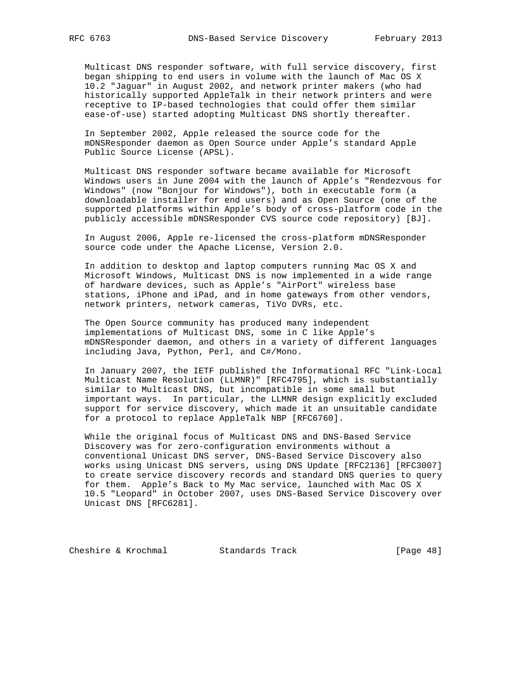Multicast DNS responder software, with full service discovery, first began shipping to end users in volume with the launch of Mac OS X 10.2 "Jaguar" in August 2002, and network printer makers (who had historically supported AppleTalk in their network printers and were receptive to IP-based technologies that could offer them similar ease-of-use) started adopting Multicast DNS shortly thereafter.

 In September 2002, Apple released the source code for the mDNSResponder daemon as Open Source under Apple's standard Apple Public Source License (APSL).

 Multicast DNS responder software became available for Microsoft Windows users in June 2004 with the launch of Apple's "Rendezvous for Windows" (now "Bonjour for Windows"), both in executable form (a downloadable installer for end users) and as Open Source (one of the supported platforms within Apple's body of cross-platform code in the publicly accessible mDNSResponder CVS source code repository) [BJ].

 In August 2006, Apple re-licensed the cross-platform mDNSResponder source code under the Apache License, Version 2.0.

 In addition to desktop and laptop computers running Mac OS X and Microsoft Windows, Multicast DNS is now implemented in a wide range of hardware devices, such as Apple's "AirPort" wireless base stations, iPhone and iPad, and in home gateways from other vendors, network printers, network cameras, TiVo DVRs, etc.

 The Open Source community has produced many independent implementations of Multicast DNS, some in C like Apple's mDNSResponder daemon, and others in a variety of different languages including Java, Python, Perl, and C#/Mono.

 In January 2007, the IETF published the Informational RFC "Link-Local Multicast Name Resolution (LLMNR)" [RFC4795], which is substantially similar to Multicast DNS, but incompatible in some small but important ways. In particular, the LLMNR design explicitly excluded support for service discovery, which made it an unsuitable candidate for a protocol to replace AppleTalk NBP [RFC6760].

 While the original focus of Multicast DNS and DNS-Based Service Discovery was for zero-configuration environments without a conventional Unicast DNS server, DNS-Based Service Discovery also works using Unicast DNS servers, using DNS Update [RFC2136] [RFC3007] to create service discovery records and standard DNS queries to query for them. Apple's Back to My Mac service, launched with Mac OS X 10.5 "Leopard" in October 2007, uses DNS-Based Service Discovery over Unicast DNS [RFC6281].

Cheshire & Krochmal Standards Track [Page 48]